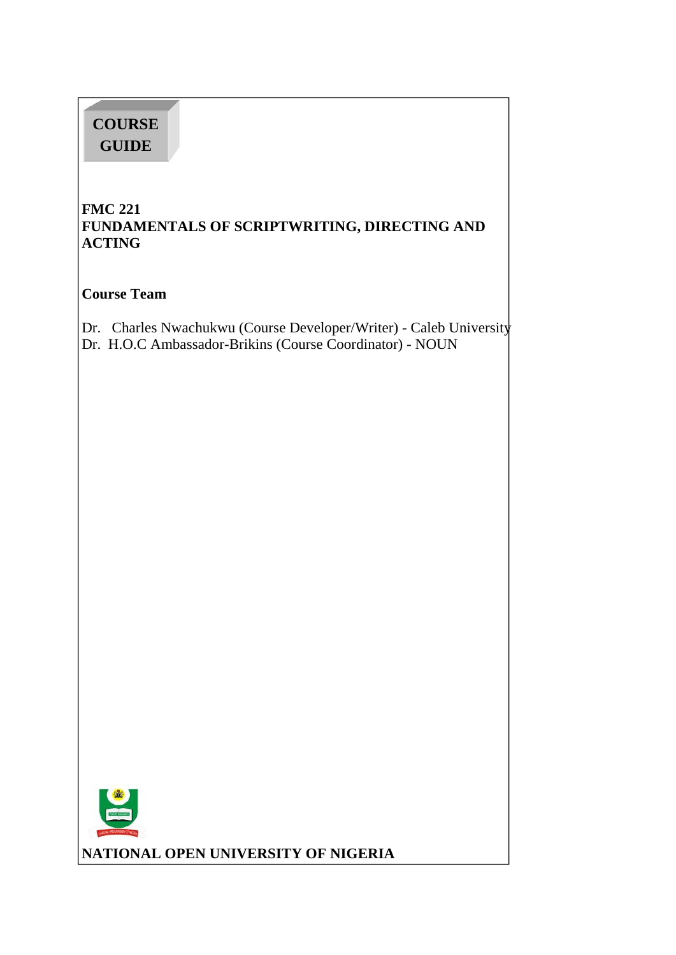# **COURSE GUIDE**

# **FMC 221 FUNDAMENTALS OF SCRIPTWRITING, DIRECTING AND ACTING**

**Course Team**

Dr. Charles Nwachukwu (Course Developer/Writer) - Caleb University

Dr. H.O.C Ambassador-Brikins (Course Coordinator) - NOUN



**NATIONAL OPEN UNIVERSITY OF NIGERIA**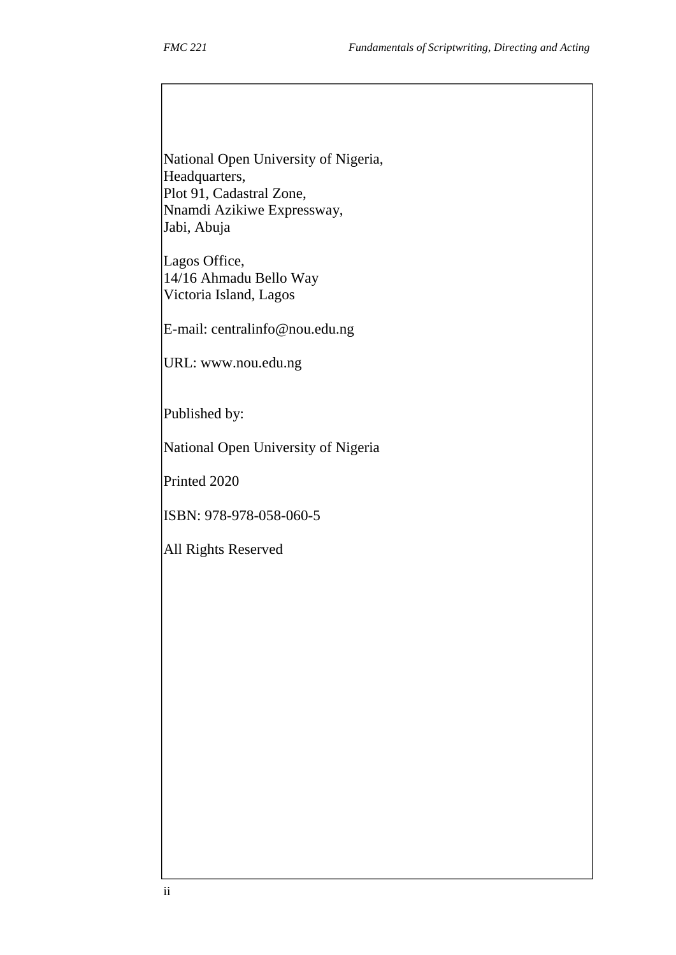National Open University of Nigeria, Headquarters, Plot 91, Cadastral Zone, Nnamdi Azikiwe Expressway, Jabi, Abuja

Lagos Office, 14/16 Ahmadu Bello Way Victoria Island, Lagos

E-mail: centralinfo@nou.edu.ng

URL: www.nou.edu.ng

Published by:

National Open University of Nigeria

Printed 2020

ISBN: 978-978-058-060-5

All Rights Reserved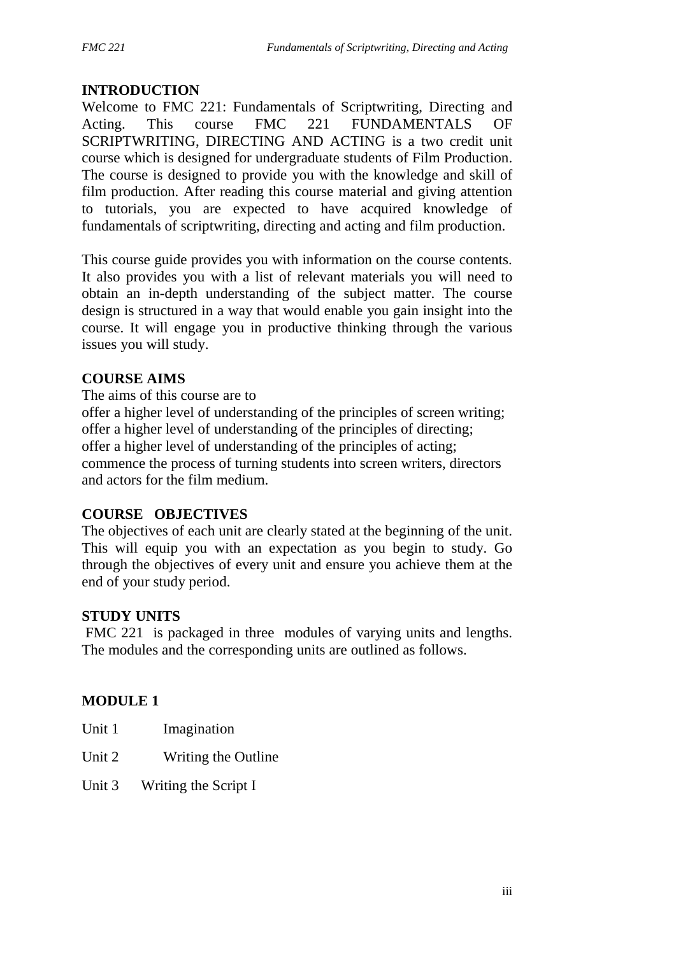## **INTRODUCTION**

Welcome to FMC 221: Fundamentals of Scriptwriting, Directing and Acting. This course FMC 221 FUNDAMENTALS OF SCRIPTWRITING, DIRECTING AND ACTING is a two credit unit course which is designed for undergraduate students of Film Production. The course is designed to provide you with the knowledge and skill of film production. After reading this course material and giving attention to tutorials, you are expected to have acquired knowledge of fundamentals of scriptwriting, directing and acting and film production.

This course guide provides you with information on the course contents. It also provides you with a list of relevant materials you will need to obtain an in-depth understanding of the subject matter. The course design is structured in a way that would enable you gain insight into the course. It will engage you in productive thinking through the various issues you will study.

### **COURSE AIMS**

The aims of this course are to

offer a higher level of understanding of the principles of screen writing; offer a higher level of understanding of the principles of directing; offer a higher level of understanding of the principles of acting; commence the process of turning students into screen writers, directors and actors for the film medium.

### **COURSE OBJECTIVES**

The objectives of each unit are clearly stated at the beginning of the unit. This will equip you with an expectation as you begin to study. Go through the objectives of every unit and ensure you achieve them at the end of your study period.

### **STUDY UNITS**

FMC 221 is packaged in three modules of varying units and lengths. The modules and the corresponding units are outlined as follows.

### **MODULE 1**

- Unit 1 Imagination
- Unit 2 Writing the Outline
- Unit 3 Writing the Script I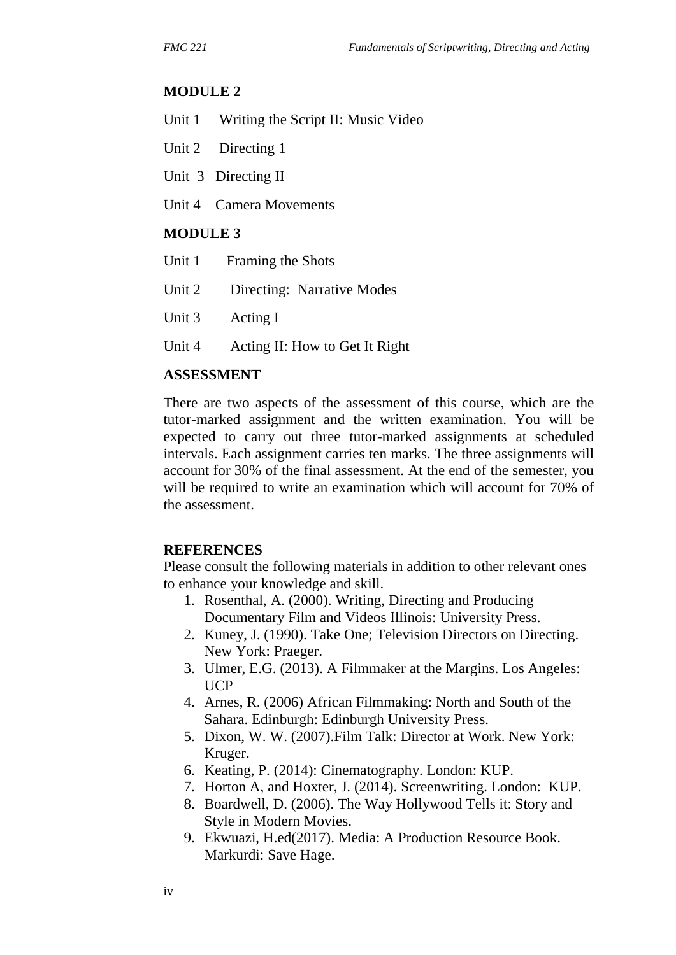#### **MODULE 2**

- Unit 1 Writing the Script II: Music Video
- Unit 2 Directing 1
- Unit 3 Directing II
- Unit 4 Camera Movements

### **MODULE 3**

| Unit 1 Framing the Shots          |  |
|-----------------------------------|--|
| Unit 2 Directing: Narrative Modes |  |
|                                   |  |

- Unit 3 Acting I
- Unit 4 Acting II: How to Get It Right

### **ASSESSMENT**

There are two aspects of the assessment of this course, which are the tutor-marked assignment and the written examination. You will be expected to carry out three tutor-marked assignments at scheduled intervals. Each assignment carries ten marks. The three assignments will account for 30% of the final assessment. At the end of the semester, you will be required to write an examination which will account for 70% of the assessment.

#### **REFERENCES**

Please consult the following materials in addition to other relevant ones to enhance your knowledge and skill.

- 1. Rosenthal, A. (2000). Writing, Directing and Producing Documentary Film and Videos Illinois: University Press.
- 2. Kuney, J. (1990). Take One; Television Directors on Directing. New York: Praeger.
- 3. Ulmer, E.G. (2013). A Filmmaker at the Margins. Los Angeles: UCP
- 4. Arnes, R. (2006) African Filmmaking: North and South of the Sahara. Edinburgh: Edinburgh University Press.
- 5. Dixon, W. W. (2007).Film Talk: Director at Work. New York: Kruger.
- 6. Keating, P. (2014): Cinematography. London: KUP.
- 7. Horton A, and Hoxter, J. (2014). Screenwriting. London: KUP.
- 8. Boardwell, D. (2006). The Way Hollywood Tells it: Story and Style in Modern Movies.
- 9. Ekwuazi, H.ed(2017). Media: A Production Resource Book. Markurdi: Save Hage.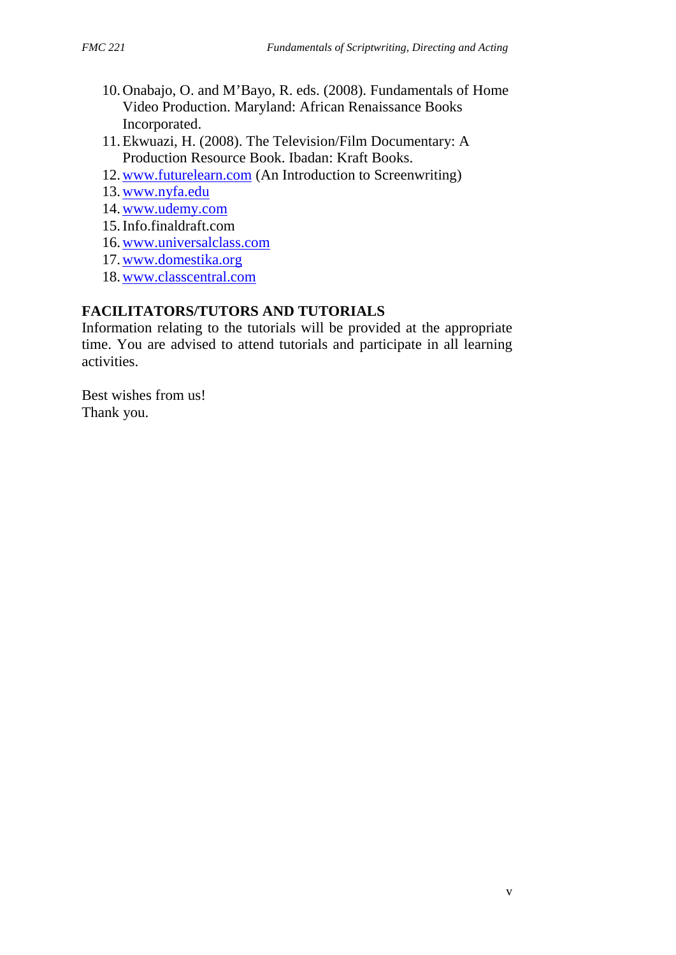- 10.Onabajo, O. and M'Bayo, R. eds. (2008). Fundamentals of Home Video Production. Maryland: African Renaissance Books Incorporated.
- 11.Ekwuazi, H. (2008). The Television/Film Documentary: A Production Resource Book. Ibadan: Kraft Books.
- 12. www.futurelearn.com (An Introduction to Screenwriting)
- 13.www.nyfa.edu
- 14.www.udemy.com
- 15.Info.finaldraft.com
- 16.www.universalclass.com
- 17.www.domestika.org
- 18.www.classcentral.com

# **FACILITATORS/TUTORS AND TUTORIALS**

Information relating to the tutorials will be provided at the appropriate time. You are advised to attend tutorials and participate in all learning activities.

Best wishes from us! Thank you.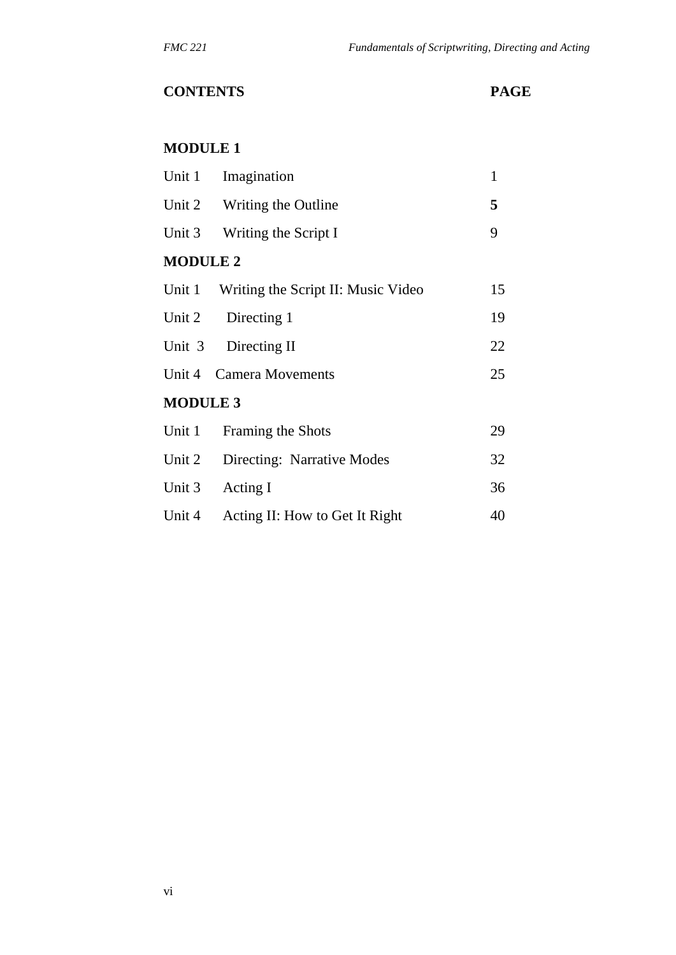# **CONTENTS PAGE**

### **MODULE 1**

| Unit 1 Imagination |                                    | $\mathbf{1}$ |  |
|--------------------|------------------------------------|--------------|--|
|                    | Unit 2 Writing the Outline         | 5            |  |
|                    | Unit 3 Writing the Script I        | 9            |  |
| <b>MODULE 2</b>    |                                    |              |  |
| Unit 1             | Writing the Script II: Music Video | 15           |  |
| Unit 2             | Directing 1                        | 19           |  |
|                    | Unit 3 Directing II                | 22           |  |
|                    | Unit 4 Camera Movements            | 25           |  |
| <b>MODULE 3</b>    |                                    |              |  |
| Unit 1             | Framing the Shots                  | 29           |  |
| Unit 2             | Directing: Narrative Modes         | 32           |  |
| Unit 3             | Acting I                           | 36           |  |
| Unit 4             | Acting II: How to Get It Right     | 40           |  |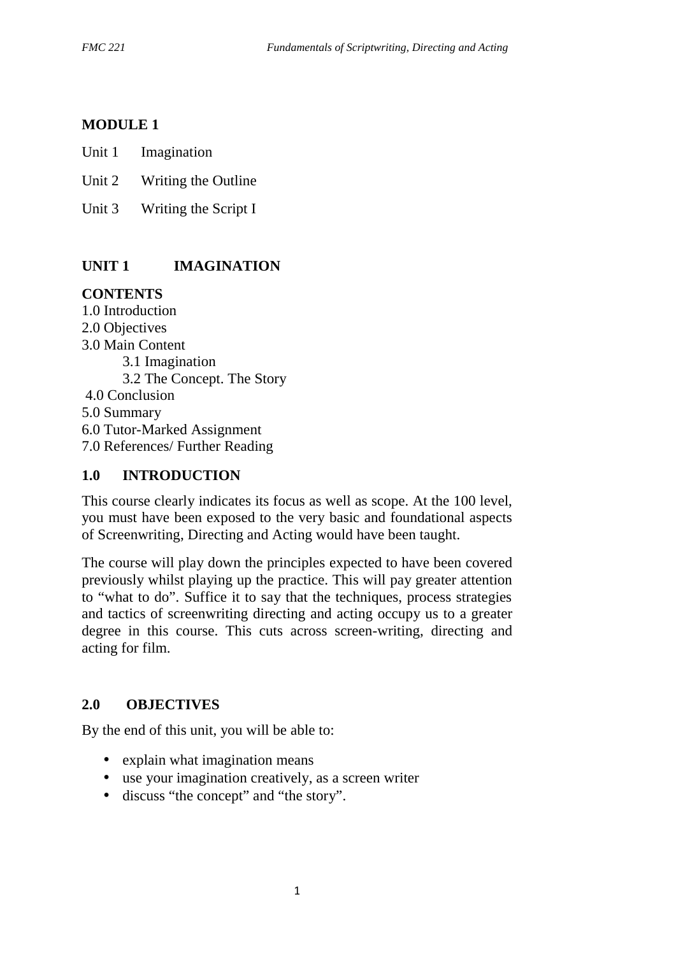### **MODULE 1**

Unit 1 Imagination

- Unit 2 Writing the Outline
- Unit 3 Writing the Script I

# **UNIT 1 IMAGINATION**

# **CONTENTS**

1.0 Introduction 2.0 Objectives 3.0 Main Content 3.1 Imagination 3.2 The Concept. The Story 4.0 Conclusion 5.0 Summary 6.0 Tutor-Marked Assignment 7.0 References/ Further Reading

### **1.0 INTRODUCTION**

This course clearly indicates its focus as well as scope. At the 100 level, you must have been exposed to the very basic and foundational aspects of Screenwriting, Directing and Acting would have been taught.

The course will play down the principles expected to have been covered previously whilst playing up the practice. This will pay greater attention to "what to do". Suffice it to say that the techniques, process strategies and tactics of screenwriting directing and acting occupy us to a greater degree in this course. This cuts across screen-writing, directing and acting for film.

# **2.0 OBJECTIVES**

By the end of this unit, you will be able to:

- explain what imagination means
- use your imagination creatively, as a screen writer
- discuss "the concept" and "the story".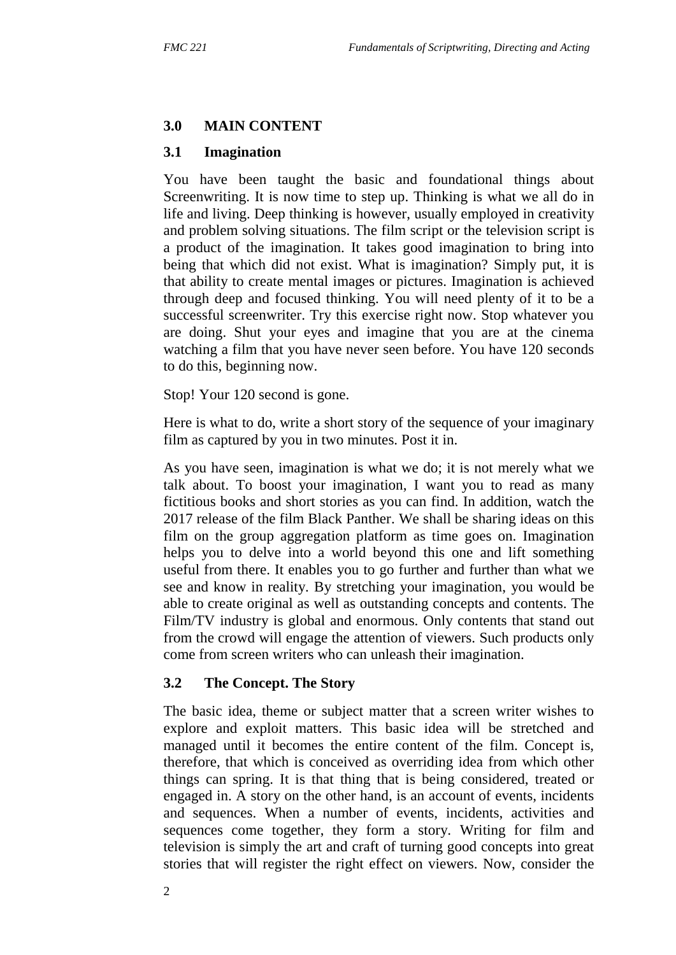### **3.0 MAIN CONTENT**

### **3.1 Imagination**

You have been taught the basic and foundational things about Screenwriting. It is now time to step up. Thinking is what we all do in life and living. Deep thinking is however, usually employed in creativity and problem solving situations. The film script or the television script is a product of the imagination. It takes good imagination to bring into being that which did not exist. What is imagination? Simply put, it is that ability to create mental images or pictures. Imagination is achieved through deep and focused thinking. You will need plenty of it to be a successful screenwriter. Try this exercise right now. Stop whatever you are doing. Shut your eyes and imagine that you are at the cinema watching a film that you have never seen before. You have 120 seconds to do this, beginning now.

Stop! Your 120 second is gone.

Here is what to do, write a short story of the sequence of your imaginary film as captured by you in two minutes. Post it in.

As you have seen, imagination is what we do; it is not merely what we talk about. To boost your imagination, I want you to read as many fictitious books and short stories as you can find. In addition, watch the 2017 release of the film Black Panther. We shall be sharing ideas on this film on the group aggregation platform as time goes on. Imagination helps you to delve into a world beyond this one and lift something useful from there. It enables you to go further and further than what we see and know in reality. By stretching your imagination, you would be able to create original as well as outstanding concepts and contents. The Film/TV industry is global and enormous. Only contents that stand out from the crowd will engage the attention of viewers. Such products only come from screen writers who can unleash their imagination.

#### **3.2 The Concept. The Story**

The basic idea, theme or subject matter that a screen writer wishes to explore and exploit matters. This basic idea will be stretched and managed until it becomes the entire content of the film. Concept is, therefore, that which is conceived as overriding idea from which other things can spring. It is that thing that is being considered, treated or engaged in. A story on the other hand, is an account of events, incidents and sequences. When a number of events, incidents, activities and sequences come together, they form a story. Writing for film and television is simply the art and craft of turning good concepts into great stories that will register the right effect on viewers. Now, consider the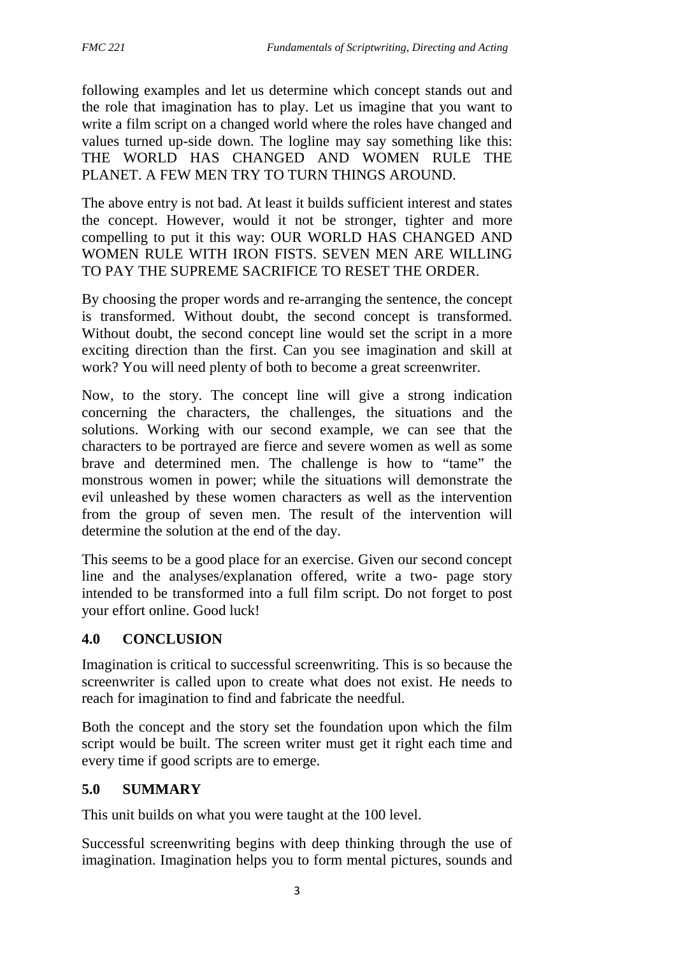following examples and let us determine which concept stands out and the role that imagination has to play. Let us imagine that you want to write a film script on a changed world where the roles have changed and values turned up-side down. The logline may say something like this: THE WORLD HAS CHANGED AND WOMEN RULE THE PLANET. A FEW MEN TRY TO TURN THINGS AROUND.

The above entry is not bad. At least it builds sufficient interest and states the concept. However, would it not be stronger, tighter and more compelling to put it this way: OUR WORLD HAS CHANGED AND WOMEN RULE WITH IRON FISTS. SEVEN MEN ARE WILLING TO PAY THE SUPREME SACRIFICE TO RESET THE ORDER.

By choosing the proper words and re-arranging the sentence, the concept is transformed. Without doubt, the second concept is transformed. Without doubt, the second concept line would set the script in a more exciting direction than the first. Can you see imagination and skill at work? You will need plenty of both to become a great screenwriter.

Now, to the story. The concept line will give a strong indication concerning the characters, the challenges, the situations and the solutions. Working with our second example, we can see that the characters to be portrayed are fierce and severe women as well as some brave and determined men. The challenge is how to "tame" the monstrous women in power; while the situations will demonstrate the evil unleashed by these women characters as well as the intervention from the group of seven men. The result of the intervention will determine the solution at the end of the day.

This seems to be a good place for an exercise. Given our second concept line and the analyses/explanation offered, write a two- page story intended to be transformed into a full film script. Do not forget to post your effort online. Good luck!

# **4.0 CONCLUSION**

Imagination is critical to successful screenwriting. This is so because the screenwriter is called upon to create what does not exist. He needs to reach for imagination to find and fabricate the needful.

Both the concept and the story set the foundation upon which the film script would be built. The screen writer must get it right each time and every time if good scripts are to emerge.

### **5.0 SUMMARY**

This unit builds on what you were taught at the 100 level.

Successful screenwriting begins with deep thinking through the use of imagination. Imagination helps you to form mental pictures, sounds and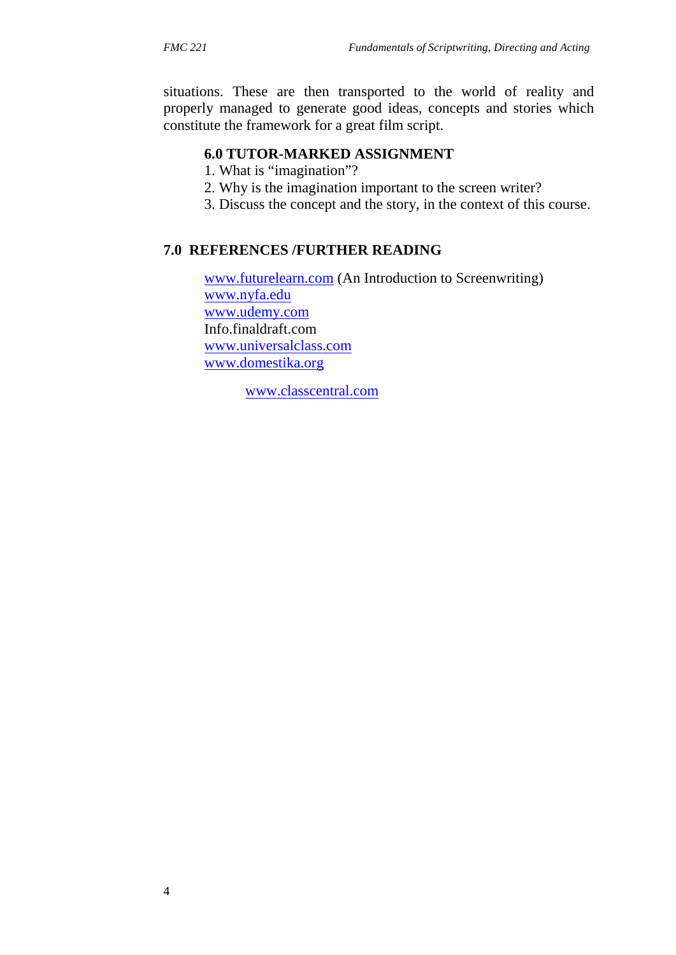situations. These are then transported to the world of reality and properly managed to generate good ideas, concepts and stories which constitute the framework for a great film script.

### **6.0 TUTOR-MARKED ASSIGNMENT**

1. What is "imagination"?

- 2. Why is the imagination important to the screen writer?
- 3. Discuss the concept and the story, in the context of this course.

#### **7.0 REFERENCES /FURTHER READING**

www.futurelearn.com (An Introduction to Screenwriting) www.nyfa.edu www.udemy.com Info.finaldraft.com www.universalclass.com www.domestika.org

www.classcentral.com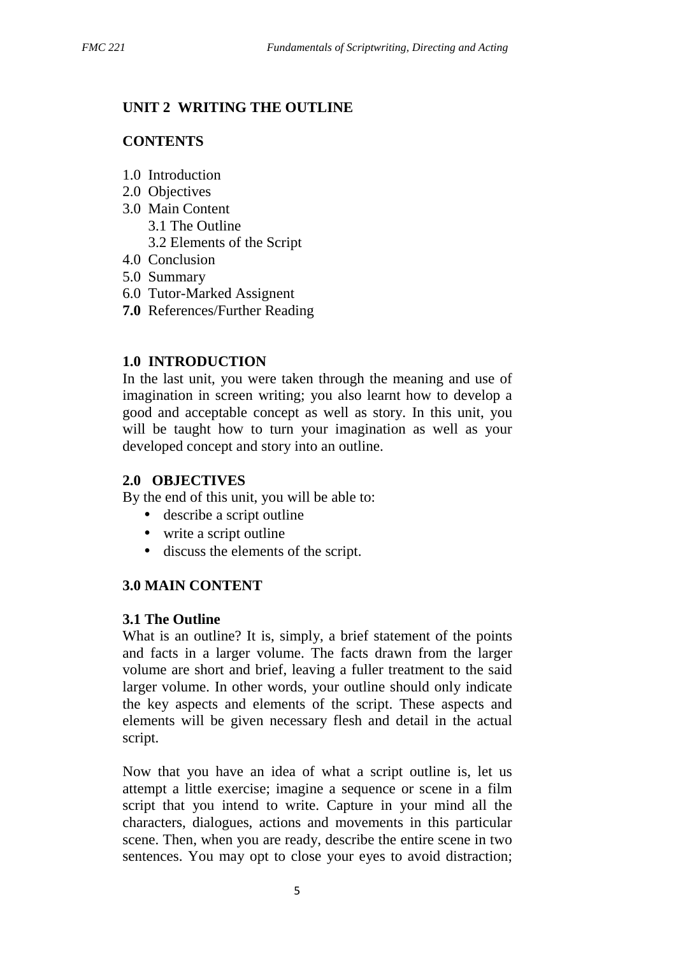### **UNIT 2 WRITING THE OUTLINE**

### **CONTENTS**

- 1.0 Introduction
- 2.0 Objectives
- 3.0 Main Content 3.1 The Outline
	- 3.2 Elements of the Script
- 4.0 Conclusion
- 5.0 Summary
- 6.0 Tutor-Marked Assignent
- **7.0** References/Further Reading

### **1.0 INTRODUCTION**

In the last unit, you were taken through the meaning and use of imagination in screen writing; you also learnt how to develop a good and acceptable concept as well as story. In this unit, you will be taught how to turn your imagination as well as your developed concept and story into an outline.

### **2.0 OBJECTIVES**

By the end of this unit, you will be able to:

- describe a script outline
- write a script outline
- discuss the elements of the script.

### **3.0 MAIN CONTENT**

### **3.1 The Outline**

What is an outline? It is, simply, a brief statement of the points and facts in a larger volume. The facts drawn from the larger volume are short and brief, leaving a fuller treatment to the said larger volume. In other words, your outline should only indicate the key aspects and elements of the script. These aspects and elements will be given necessary flesh and detail in the actual script.

Now that you have an idea of what a script outline is, let us attempt a little exercise; imagine a sequence or scene in a film script that you intend to write. Capture in your mind all the characters, dialogues, actions and movements in this particular scene. Then, when you are ready, describe the entire scene in two sentences. You may opt to close your eyes to avoid distraction;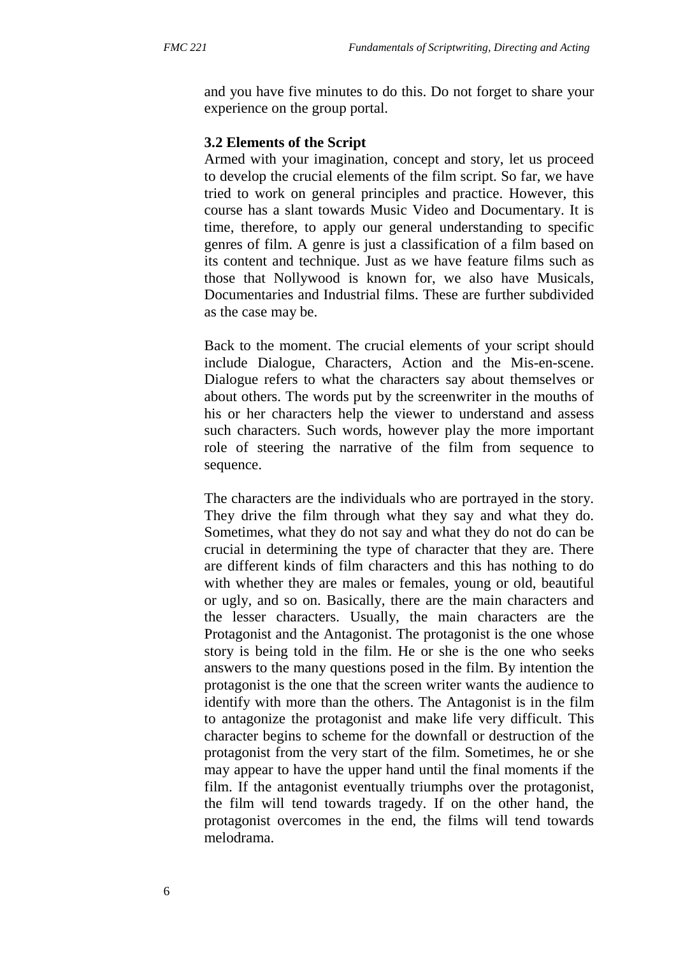and you have five minutes to do this. Do not forget to share your experience on the group portal.

#### **3.2 Elements of the Script**

Armed with your imagination, concept and story, let us proceed to develop the crucial elements of the film script. So far, we have tried to work on general principles and practice. However, this course has a slant towards Music Video and Documentary. It is time, therefore, to apply our general understanding to specific genres of film. A genre is just a classification of a film based on its content and technique. Just as we have feature films such as those that Nollywood is known for, we also have Musicals, Documentaries and Industrial films. These are further subdivided as the case may be.

Back to the moment. The crucial elements of your script should include Dialogue, Characters, Action and the Mis-en-scene. Dialogue refers to what the characters say about themselves or about others. The words put by the screenwriter in the mouths of his or her characters help the viewer to understand and assess such characters. Such words, however play the more important role of steering the narrative of the film from sequence to sequence.

The characters are the individuals who are portrayed in the story. They drive the film through what they say and what they do. Sometimes, what they do not say and what they do not do can be crucial in determining the type of character that they are. There are different kinds of film characters and this has nothing to do with whether they are males or females, young or old, beautiful or ugly, and so on. Basically, there are the main characters and the lesser characters. Usually, the main characters are the Protagonist and the Antagonist. The protagonist is the one whose story is being told in the film. He or she is the one who seeks answers to the many questions posed in the film. By intention the protagonist is the one that the screen writer wants the audience to identify with more than the others. The Antagonist is in the film to antagonize the protagonist and make life very difficult. This character begins to scheme for the downfall or destruction of the protagonist from the very start of the film. Sometimes, he or she may appear to have the upper hand until the final moments if the film. If the antagonist eventually triumphs over the protagonist, the film will tend towards tragedy. If on the other hand, the protagonist overcomes in the end, the films will tend towards melodrama.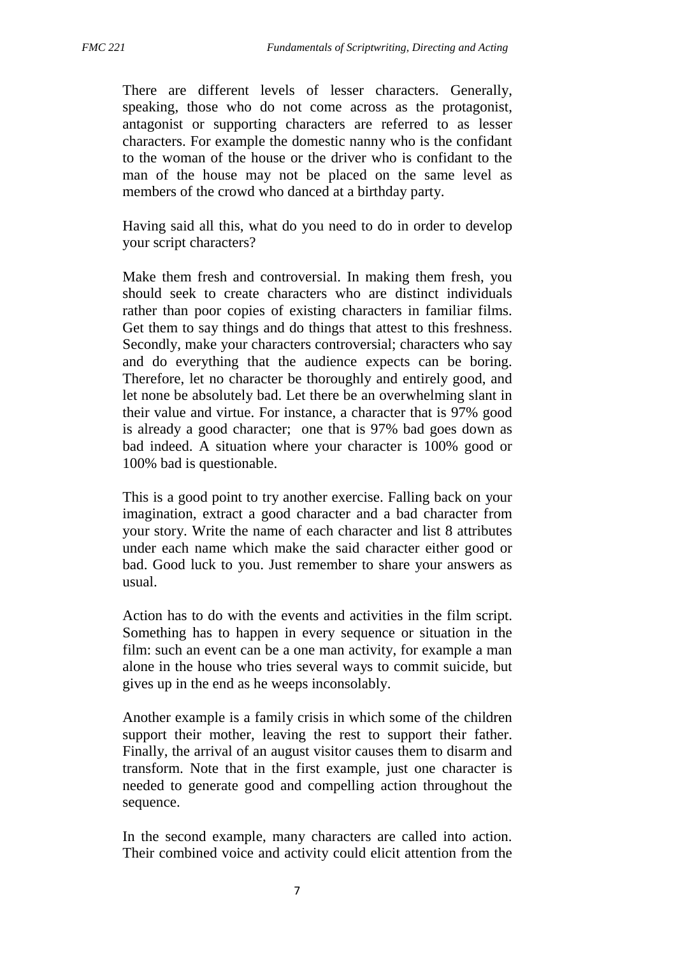There are different levels of lesser characters. Generally, speaking, those who do not come across as the protagonist, antagonist or supporting characters are referred to as lesser characters. For example the domestic nanny who is the confidant to the woman of the house or the driver who is confidant to the man of the house may not be placed on the same level as members of the crowd who danced at a birthday party.

Having said all this, what do you need to do in order to develop your script characters?

Make them fresh and controversial. In making them fresh, you should seek to create characters who are distinct individuals rather than poor copies of existing characters in familiar films. Get them to say things and do things that attest to this freshness. Secondly, make your characters controversial; characters who say and do everything that the audience expects can be boring. Therefore, let no character be thoroughly and entirely good, and let none be absolutely bad. Let there be an overwhelming slant in their value and virtue. For instance, a character that is 97% good is already a good character; one that is 97% bad goes down as bad indeed. A situation where your character is 100% good or 100% bad is questionable.

This is a good point to try another exercise. Falling back on your imagination, extract a good character and a bad character from your story. Write the name of each character and list 8 attributes under each name which make the said character either good or bad. Good luck to you. Just remember to share your answers as usual.

Action has to do with the events and activities in the film script. Something has to happen in every sequence or situation in the film: such an event can be a one man activity, for example a man alone in the house who tries several ways to commit suicide, but gives up in the end as he weeps inconsolably.

Another example is a family crisis in which some of the children support their mother, leaving the rest to support their father. Finally, the arrival of an august visitor causes them to disarm and transform. Note that in the first example, just one character is needed to generate good and compelling action throughout the sequence.

In the second example, many characters are called into action. Their combined voice and activity could elicit attention from the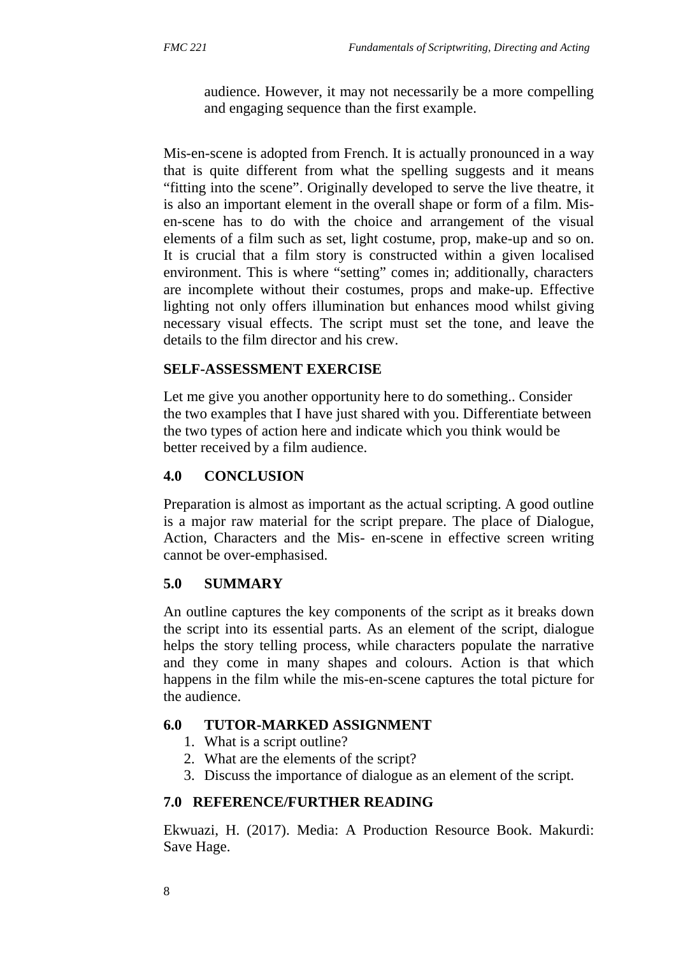audience. However, it may not necessarily be a more compelling and engaging sequence than the first example.

Mis-en-scene is adopted from French. It is actually pronounced in a way that is quite different from what the spelling suggests and it means "fitting into the scene". Originally developed to serve the live theatre, it is also an important element in the overall shape or form of a film. Mis en-scene has to do with the choice and arrangement of the visual elements of a film such as set, light costume, prop, make-up and so on. It is crucial that a film story is constructed within a given localised environment. This is where "setting" comes in; additionally, characters are incomplete without their costumes, props and make-up. Effective lighting not only offers illumination but enhances mood whilst giving necessary visual effects. The script must set the tone, and leave the details to the film director and his crew.

### **SELF-ASSESSMENT EXERCISE**

Let me give you another opportunity here to do something.. Consider the two examples that I have just shared with you. Differentiate between the two types of action here and indicate which you think would be better received by a film audience.

# **4.0 CONCLUSION**

Preparation is almost as important as the actual scripting. A good outline is a major raw material for the script prepare. The place of Dialogue, Action, Characters and the Mis- en-scene in effective screen writing cannot be over-emphasised.

# **5.0 SUMMARY**

An outline captures the key components of the script as it breaks down the script into its essential parts. As an element of the script, dialogue helps the story telling process, while characters populate the narrative and they come in many shapes and colours. Action is that which happens in the film while the mis-en-scene captures the total picture for the audience.

# **6.0 TUTOR-MARKED ASSIGNMENT**

- 1. What is a script outline?
- 2. What are the elements of the script?
- 3. Discuss the importance of dialogue as an element of the script.

### **7.0 REFERENCE/FURTHER READING**

Ekwuazi, H. (2017). Media: A Production Resource Book. Makurdi: Save Hage.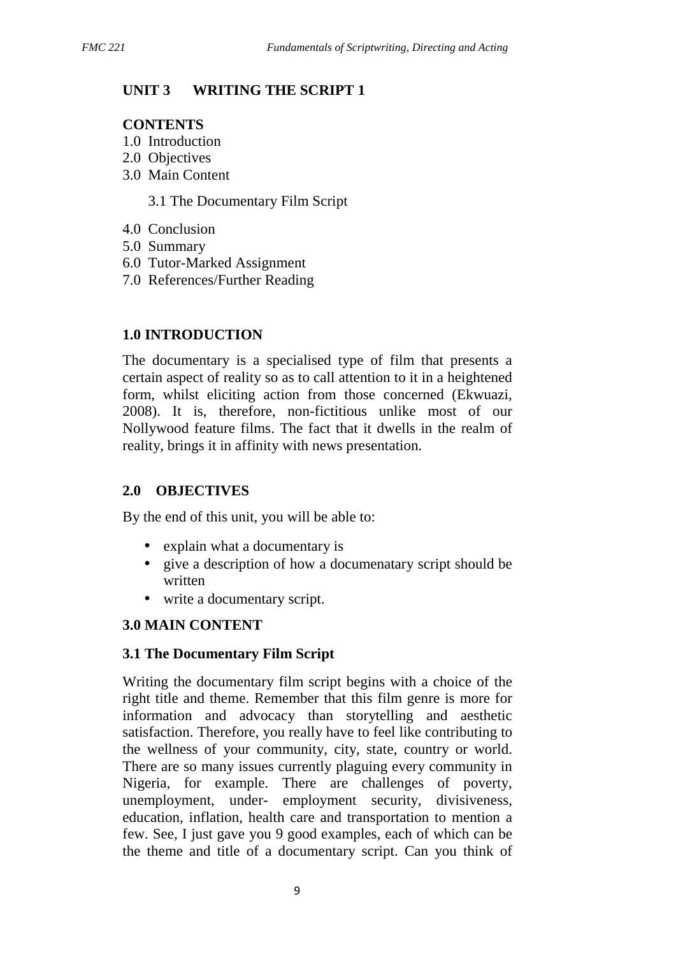# **UNIT 3 WRITING THE SCRIPT 1**

### **CONTENTS**

- 1.0 Introduction
- 2.0 Objectives
- 3.0 Main Content

3.1 The Documentary Film Script

- 4.0 Conclusion
- 5.0 Summary
- 6.0 Tutor-Marked Assignment
- 7.0 References/Further Reading

# **1.0 INTRODUCTION**

The documentary is a specialised type of film that presents a certain aspect of reality so as to call attention to it in a heightened form, whilst eliciting action from those concerned (Ekwuazi, 2008). It is, therefore, non-fictitious unlike most of our Nollywood feature films. The fact that it dwells in the realm of reality, brings it in affinity with news presentation.

### **2.0 OBJECTIVES**

By the end of this unit, you will be able to:

- explain what a documentary is
- give a description of how a documenatary script should be written
- write a documentary script.

### **3.0 MAIN CONTENT**

### **3.1 The Documentary Film Script**

Writing the documentary film script begins with a choice of the right title and theme. Remember that this film genre is more for information and advocacy than storytelling and aesthetic satisfaction. Therefore, you really have to feel like contributing to the wellness of your community, city, state, country or world. There are so many issues currently plaguing every community in Nigeria, for example. There are challenges of poverty, unemployment, under- employment security, divisiveness, education, inflation, health care and transportation to mention a few. See, I just gave you 9 good examples, each of which can be the theme and title of a documentary script. Can you think of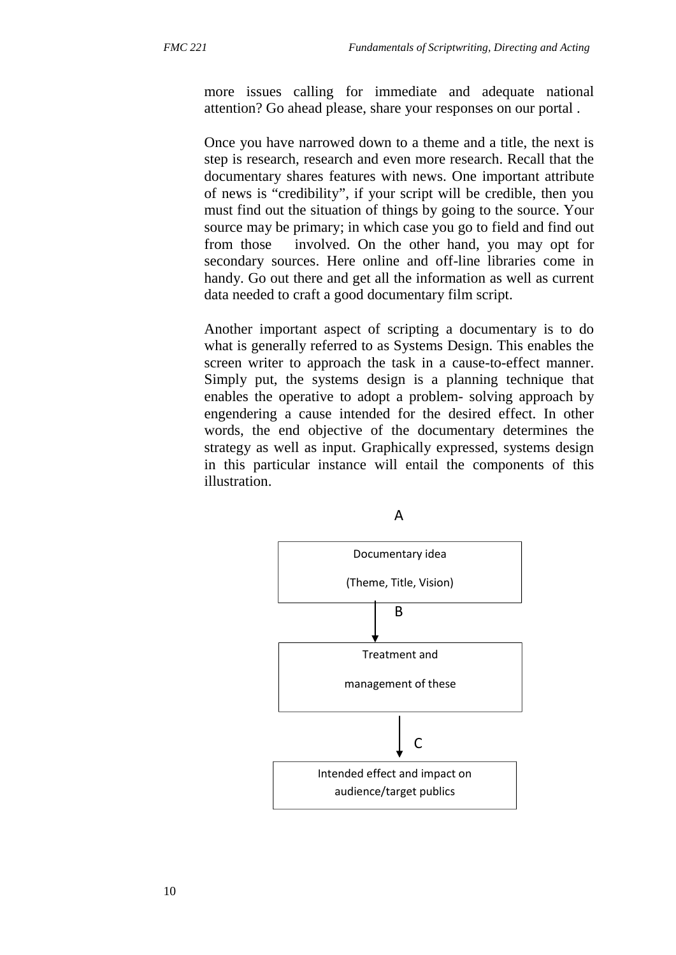more issues calling for immediate and adequate national attention? Go ahead please, share your responses on our portal .

Once you have narrowed down to a theme and a title, the next is step is research, research and even more research. Recall that the documentary shares features with news. One important attribute of news is "credibility", if your script will be credible, then you must find out the situation of things by going to the source. Your source may be primary; in which case you go to field and find out from those involved. On the other hand, you may opt for secondary sources. Here online and off-line libraries come in handy. Go out there and get all the information as well as current data needed to craft a good documentary film script.

Another important aspect of scripting a documentary is to do what is generally referred to as Systems Design. This enables the screen writer to approach the task in a cause-to-effect manner. Simply put, the systems design is a planning technique that enables the operative to adopt a problem- solving approach by engendering a cause intended for the desired effect. In other words, the end objective of the documentary determines the strategy as well as input. Graphically expressed, systems design in this particular instance will entail the components of this illustration.



A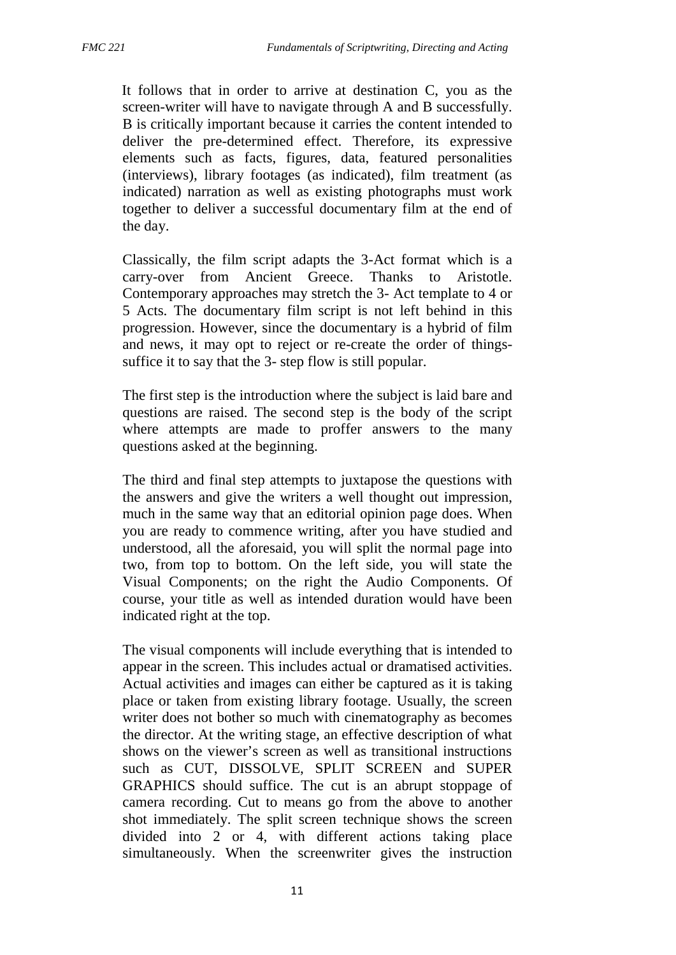It follows that in order to arrive at destination C, you as the screen-writer will have to navigate through A and B successfully. B is critically important because it carries the content intended to deliver the pre-determined effect. Therefore, its expressive elements such as facts, figures, data, featured personalities (interviews), library footages (as indicated), film treatment (as indicated) narration as well as existing photographs must work together to deliver a successful documentary film at the end of the day.

Classically, the film script adapts the 3-Act format which is a carry-over from Ancient Greece. Thanks to Aristotle. Contemporary approaches may stretch the 3- Act template to 4 or 5 Acts. The documentary film script is not left behind in this progression. However, since the documentary is a hybrid of film and news, it may opt to reject or re-create the order of things suffice it to say that the 3- step flow is still popular.

The first step is the introduction where the subject is laid bare and questions are raised. The second step is the body of the script where attempts are made to proffer answers to the many questions asked at the beginning.

The third and final step attempts to juxtapose the questions with the answers and give the writers a well thought out impression, much in the same way that an editorial opinion page does. When you are ready to commence writing, after you have studied and understood, all the aforesaid, you will split the normal page into two, from top to bottom. On the left side, you will state the Visual Components; on the right the Audio Components. Of course, your title as well as intended duration would have been indicated right at the top.

The visual components will include everything that is intended to appear in the screen. This includes actual or dramatised activities. Actual activities and images can either be captured as it is taking place or taken from existing library footage. Usually, the screen writer does not bother so much with cinematography as becomes the director. At the writing stage, an effective description of what shows on the viewer's screen as well as transitional instructions such as CUT, DISSOLVE, SPLIT SCREEN and SUPER GRAPHICS should suffice. The cut is an abrupt stoppage of camera recording. Cut to means go from the above to another shot immediately. The split screen technique shows the screen divided into 2 or 4, with different actions taking place simultaneously. When the screenwriter gives the instruction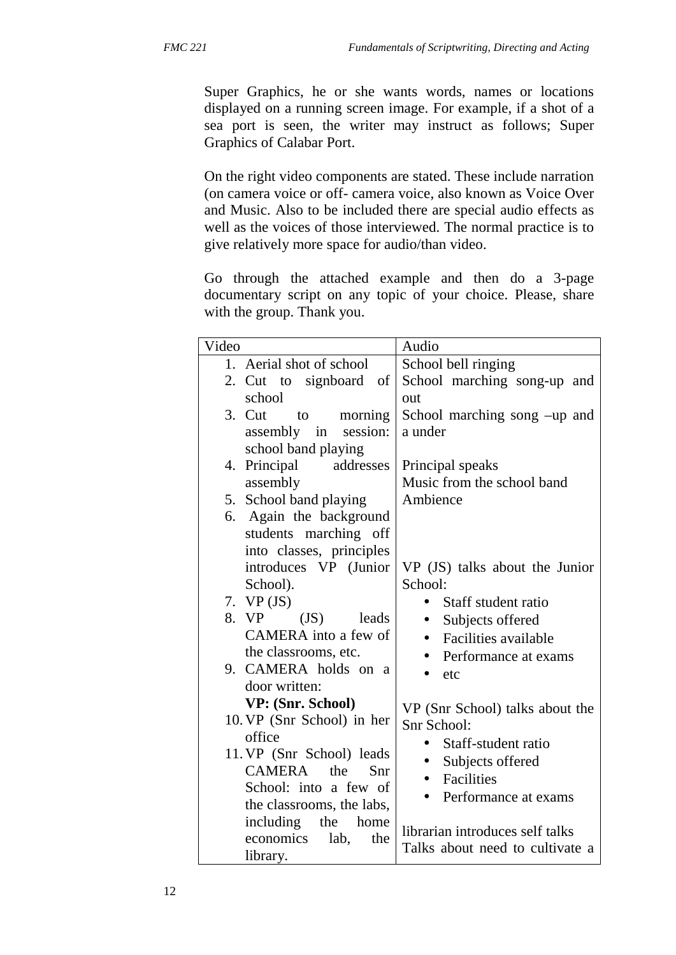Super Graphics, he or she wants words, names or locations displayed on a running screen image. For example, if a shot of a sea port is seen, the writer may instruct as follows; Super Graphics of Calabar Port.

On the right video components are stated. These include narration (on camera voice or off- camera voice, also known as Voice Over and Music. Also to be included there are special audio effects as well as the voices of those interviewed. The normal practice is to give relatively more space for audio/than video.

Go through the attached example and then do a 3-page documentary script on any topic of your choice. Please, share with the group. Thank you.

| Video                                          | Audio                             |
|------------------------------------------------|-----------------------------------|
| 1. Aerial shot of school                       | School bell ringing               |
| 2. Cut to signboard of                         | School marching song-up and       |
| school                                         | out                               |
| 3. Cut<br>morning<br>to                        | School marching song -up and      |
| session:<br>assembly in                        | a under                           |
| school band playing                            |                                   |
| 4. Principal<br>addresses                      | Principal speaks                  |
| assembly                                       | Music from the school band        |
| 5. School band playing                         | Ambience                          |
| 6. Again the background                        |                                   |
| students marching off                          |                                   |
| into classes, principles                       |                                   |
| introduces VP (Junior                          | VP (JS) talks about the Junior    |
| School).                                       | School:                           |
| 7. $VP (JS)$                                   | Staff student ratio<br>$\bullet$  |
| 8. VP<br>(JS)<br>leads<br>CAMERA into a few of | Subjects offered                  |
|                                                | Facilities available              |
| the classrooms, etc.<br>9. CAMERA holds on a   | Performance at exams<br>$\bullet$ |
| door written:                                  | etc                               |
| VP: (Snr. School)                              |                                   |
| 10. VP (Snr School) in her                     | VP (Snr School) talks about the   |
| office                                         | Snr School:                       |
| 11. VP (Snr School) leads                      | Staff-student ratio<br>$\bullet$  |
| <b>CAMERA</b><br>the<br>Snr                    | Subjects offered                  |
| School: into a few of                          | Facilities                        |
| the classrooms, the labs,                      | Performance at exams              |
| including<br>the<br>home                       |                                   |
| economics<br>lab,<br>the                       | librarian introduces self talks   |
| library.                                       | Talks about need to cultivate a   |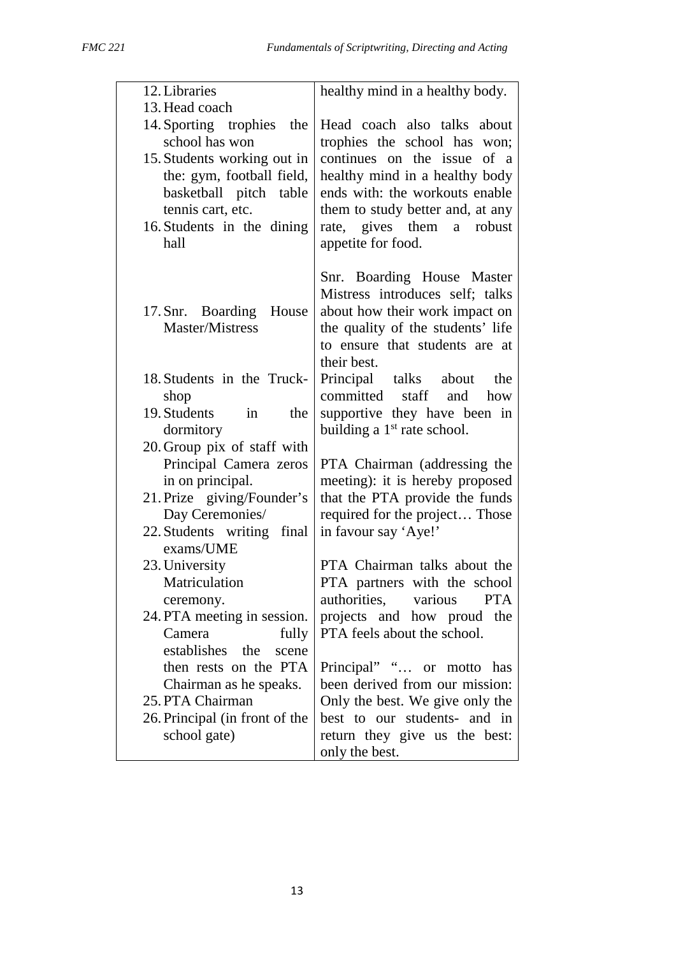| 12. Libraries                                                                                                                                                                                                     | healthy mind in a healthy body.                                                                                                                                                                                                                       |  |
|-------------------------------------------------------------------------------------------------------------------------------------------------------------------------------------------------------------------|-------------------------------------------------------------------------------------------------------------------------------------------------------------------------------------------------------------------------------------------------------|--|
| 13. Head coach<br>14. Sporting trophies<br>the<br>school has won<br>15. Students working out in<br>the: gym, football field,<br>basketball pitch table<br>tennis cart, etc.<br>16. Students in the dining<br>hall | Head coach also talks about<br>trophies the school has won;<br>continues on the issue of a<br>healthy mind in a healthy body<br>ends with: the workouts enable<br>them to study better and, at any<br>rate, gives them a robust<br>appetite for food. |  |
| 17. Snr. Boarding House<br>Master/Mistress                                                                                                                                                                        | Snr. Boarding House Master<br>Mistress introduces self; talks<br>about how their work impact on<br>the quality of the students' life<br>to ensure that students are at<br>their best.                                                                 |  |
| 18. Students in the Truck-<br>shop<br>19. Students<br>the<br>in<br>dormitory                                                                                                                                      | Principal talks about<br>the<br>committed<br>staff and<br>how<br>supportive they have been in<br>building a 1 <sup>st</sup> rate school.                                                                                                              |  |
| 20. Group pix of staff with<br>Principal Camera zeros<br>in on principal.<br>21. Prize giving/Founder's<br>Day Ceremonies/<br>22. Students writing final                                                          | PTA Chairman (addressing the<br>meeting): it is hereby proposed<br>that the PTA provide the funds<br>required for the project Those<br>in favour say 'Aye!'                                                                                           |  |
| exams/UME<br>23. University<br>Matriculation<br>ceremony.<br>24. PTA meeting in session.<br>Camera<br>fully                                                                                                       | PTA Chairman talks about the<br>PTA partners with the school<br>authorities,<br><b>PTA</b><br>various<br>projects and how proud the<br>PTA feels about the school.                                                                                    |  |
| establishes the<br>scene<br>then rests on the PTA<br>Chairman as he speaks.<br>25. PTA Chairman<br>26. Principal (in front of the<br>school gate)                                                                 | Principal" " or motto has<br>been derived from our mission:<br>Only the best. We give only the<br>best to our students- and in<br>return they give us the best:<br>only the best.                                                                     |  |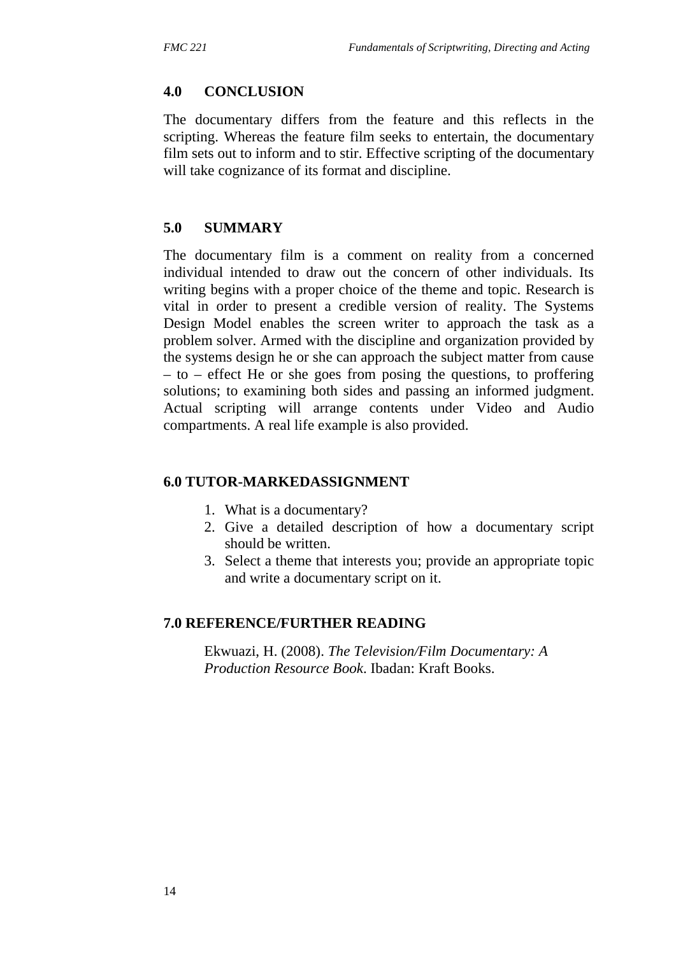### **4.0 CONCLUSION**

The documentary differs from the feature and this reflects in the scripting. Whereas the feature film seeks to entertain, the documentary film sets out to inform and to stir. Effective scripting of the documentary will take cognizance of its format and discipline.

### **5.0 SUMMARY**

The documentary film is a comment on reality from a concerned individual intended to draw out the concern of other individuals. Its writing begins with a proper choice of the theme and topic. Research is vital in order to present a credible version of reality. The Systems Design Model enables the screen writer to approach the task as a problem solver. Armed with the discipline and organization provided by the systems design he or she can approach the subject matter from cause – to – effect He or she goes from posing the questions, to proffering solutions; to examining both sides and passing an informed judgment. Actual scripting will arrange contents under Video and Audio compartments. A real life example is also provided.

### **6.0 TUTOR-MARKEDASSIGNMENT**

- 1. What is a documentary?
- 2. Give a detailed description of how a documentary script should be written.
- 3. Select a theme that interests you; provide an appropriate topic and write a documentary script on it.

### **7.0 REFERENCE/FURTHER READING**

Ekwuazi, H. (2008). *The Television/Film Documentary: A Production Resource Book*. Ibadan: Kraft Books.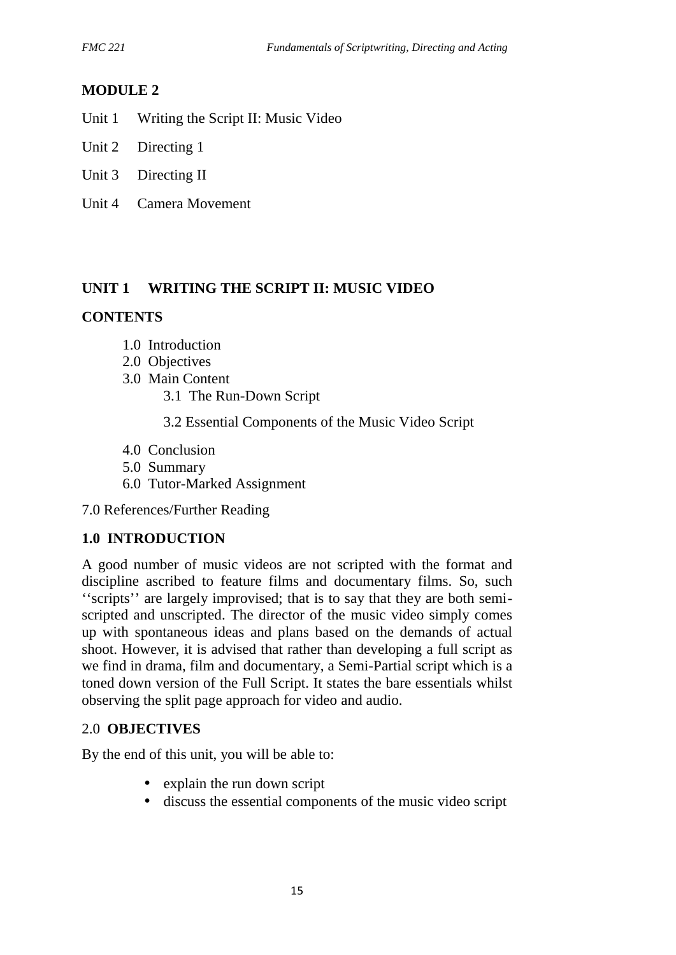# **MODULE 2**

- Unit 1 Writing the Script II: Music Video
- Unit 2 Directing 1
- Unit 3 Directing II
- Unit 4 Camera Movement

### **UNIT 1 WRITING THE SCRIPT II: MUSIC VIDEO**

### **CONTENTS**

- 1.0 Introduction
- 2.0 Objectives
- 3.0 Main Content
	- 3.1 The Run-Down Script
	- 3.2 Essential Components of the Music Video Script
- 4.0 Conclusion
- 5.0 Summary
- 6.0 Tutor-Marked Assignment

7.0 References/Further Reading

### **1.0 INTRODUCTION**

A good number of music videos are not scripted with the format and discipline ascribed to feature films and documentary films. So, such ''scripts'' are largely improvised; that is to say that they are both semi scripted and unscripted. The director of the music video simply comes up with spontaneous ideas and plans based on the demands of actual shoot. However, it is advised that rather than developing a full script as we find in drama, film and documentary, a Semi-Partial script which is a toned down version of the Full Script. It states the bare essentials whilst observing the split page approach for video and audio.

### 2.0 **OBJECTIVES**

By the end of this unit, you will be able to:

- explain the run down script
- discuss the essential components of the music video script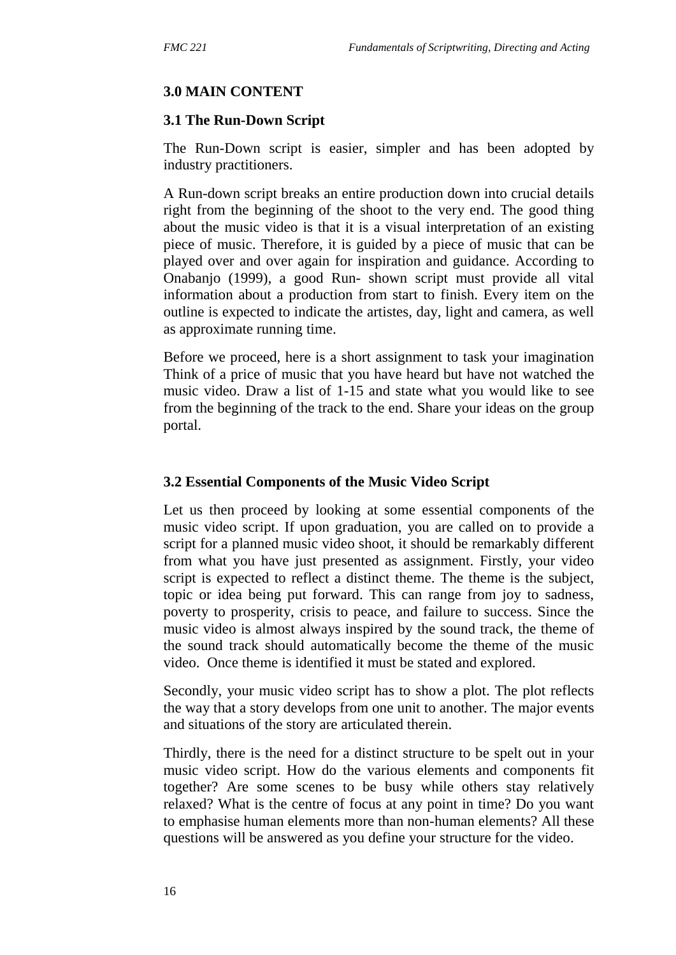### **3.0 MAIN CONTENT**

### **3.1 The Run-Down Script**

The Run-Down script is easier, simpler and has been adopted by industry practitioners.

A Run-down script breaks an entire production down into crucial details right from the beginning of the shoot to the very end. The good thing about the music video is that it is a visual interpretation of an existing piece of music. Therefore, it is guided by a piece of music that can be played over and over again for inspiration and guidance. According to Onabanjo (1999), a good Run- shown script must provide all vital information about a production from start to finish. Every item on the outline is expected to indicate the artistes, day, light and camera, as well as approximate running time.

Before we proceed, here is a short assignment to task your imagination Think of a price of music that you have heard but have not watched the music video. Draw a list of 1-15 and state what you would like to see from the beginning of the track to the end. Share your ideas on the group portal.

### **3.2 Essential Components of the Music Video Script**

Let us then proceed by looking at some essential components of the music video script. If upon graduation, you are called on to provide a script for a planned music video shoot, it should be remarkably different from what you have just presented as assignment. Firstly, your video script is expected to reflect a distinct theme. The theme is the subject, topic or idea being put forward. This can range from joy to sadness, poverty to prosperity, crisis to peace, and failure to success. Since the music video is almost always inspired by the sound track, the theme of the sound track should automatically become the theme of the music video. Once theme is identified it must be stated and explored.

Secondly, your music video script has to show a plot. The plot reflects the way that a story develops from one unit to another. The major events and situations of the story are articulated therein.

Thirdly, there is the need for a distinct structure to be spelt out in your music video script. How do the various elements and components fit together? Are some scenes to be busy while others stay relatively relaxed? What is the centre of focus at any point in time? Do you want to emphasise human elements more than non-human elements? All these questions will be answered as you define your structure for the video.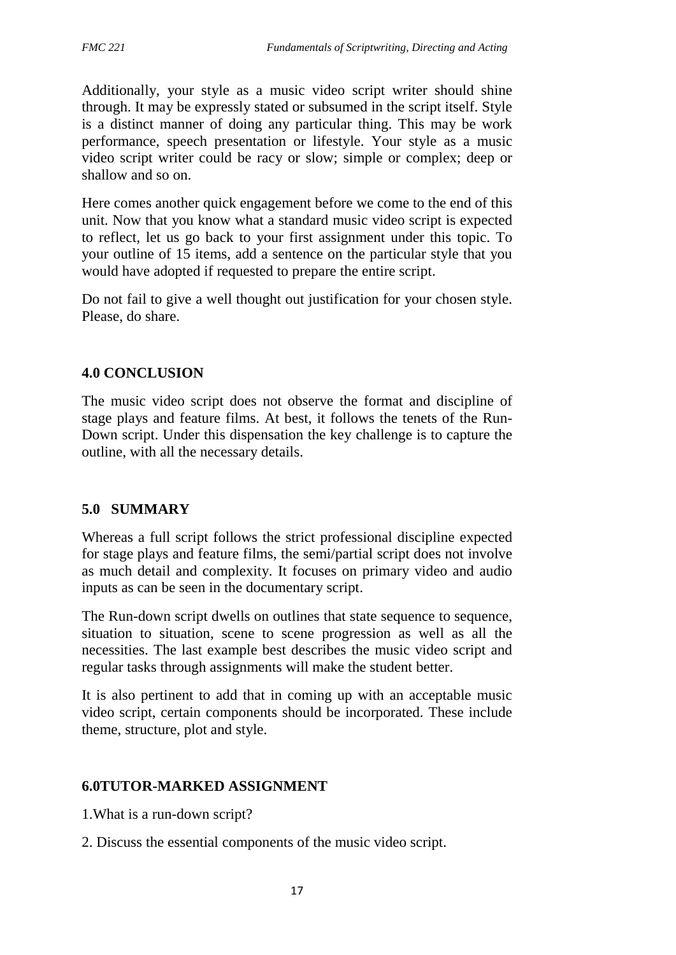Additionally, your style as a music video script writer should shine through. It may be expressly stated or subsumed in the script itself. Style is a distinct manner of doing any particular thing. This may be work performance, speech presentation or lifestyle. Your style as a music video script writer could be racy or slow; simple or complex; deep or shallow and so on.

Here comes another quick engagement before we come to the end of this unit. Now that you know what a standard music video script is expected to reflect, let us go back to your first assignment under this topic. To your outline of 15 items, add a sentence on the particular style that you would have adopted if requested to prepare the entire script.

Do not fail to give a well thought out justification for your chosen style. Please, do share.

### **4.0 CONCLUSION**

The music video script does not observe the format and discipline of stage plays and feature films. At best, it follows the tenets of the Run- Down script. Under this dispensation the key challenge is to capture the outline, with all the necessary details.

### **5.0 SUMMARY**

Whereas a full script follows the strict professional discipline expected for stage plays and feature films, the semi/partial script does not involve as much detail and complexity. It focuses on primary video and audio inputs as can be seen in the documentary script.

The Run-down script dwells on outlines that state sequence to sequence, situation to situation, scene to scene progression as well as all the necessities. The last example best describes the music video script and regular tasks through assignments will make the student better.

It is also pertinent to add that in coming up with an acceptable music video script, certain components should be incorporated. These include theme, structure, plot and style.

### **6.0TUTOR-MARKED ASSIGNMENT**

- 1.What is a run-down script?
- 2. Discuss the essential components of the music video script.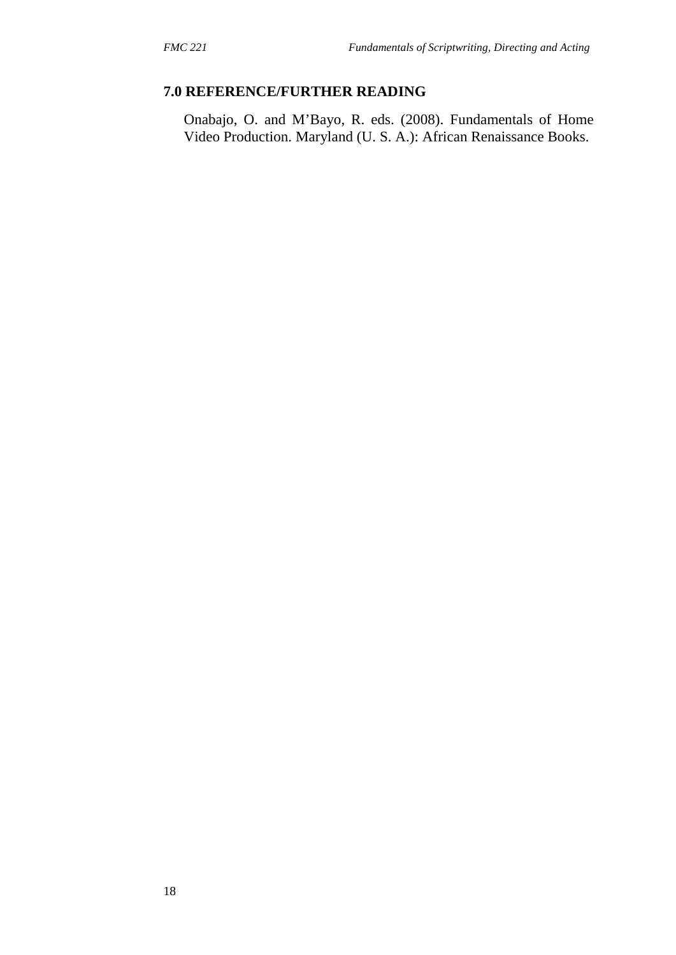# **7.0 REFERENCE/FURTHER READING**

Onabajo, O. and M'Bayo, R. eds. (2008). Fundamentals of Home Video Production. Maryland (U. S. A.): African Renaissance Books.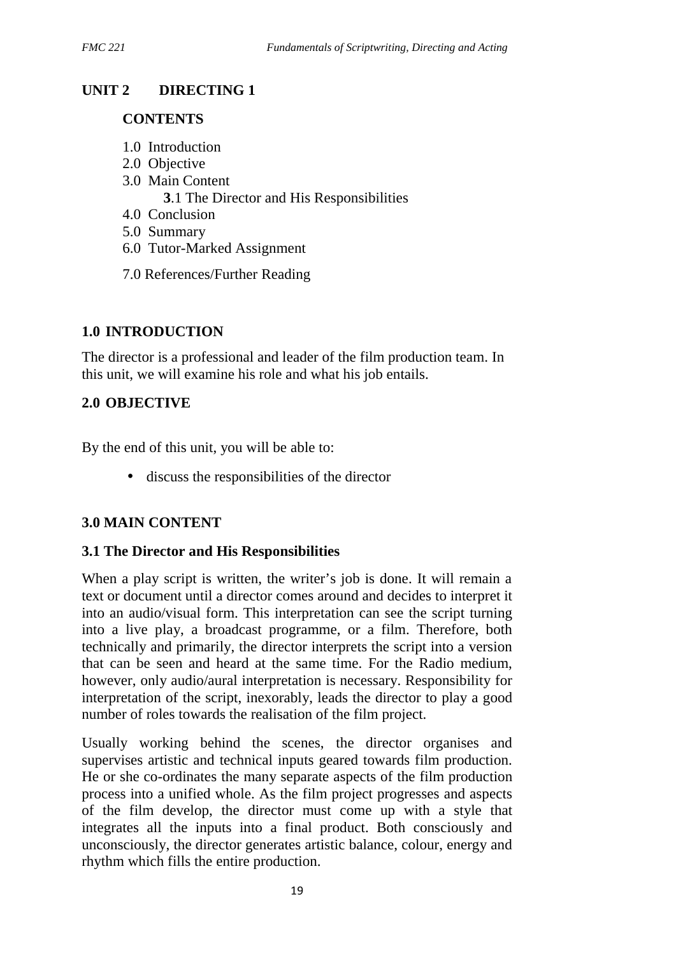# **UNIT 2 DIRECTING 1**

### **CONTENTS**

- 1.0 Introduction
- 2.0 Objective
- 3.0 Main Content
	- **3**.1 The Director and His Responsibilities
- 4.0 Conclusion
- 5.0 Summary
- 6.0 Tutor-Marked Assignment
- 7.0 References/Further Reading

# **1.0 INTRODUCTION**

The director is a professional and leader of the film production team. In this unit, we will examine his role and what his job entails.

# **2.0 OBJECTIVE**

By the end of this unit, you will be able to:

discuss the responsibilities of the director

# **3.0 MAIN CONTENT**

# **3.1 The Director and His Responsibilities**

When a play script is written, the writer's job is done. It will remain a text or document until a director comes around and decides to interpret it into an audio/visual form. This interpretation can see the script turning into a live play, a broadcast programme, or a film. Therefore, both technically and primarily, the director interprets the script into a version that can be seen and heard at the same time. For the Radio medium, however, only audio/aural interpretation is necessary. Responsibility for interpretation of the script, inexorably, leads the director to play a good number of roles towards the realisation of the film project.

Usually working behind the scenes, the director organises and supervises artistic and technical inputs geared towards film production. He or she co-ordinates the many separate aspects of the film production process into a unified whole. As the film project progresses and aspects of the film develop, the director must come up with a style that integrates all the inputs into a final product. Both consciously and unconsciously, the director generates artistic balance, colour, energy and rhythm which fills the entire production.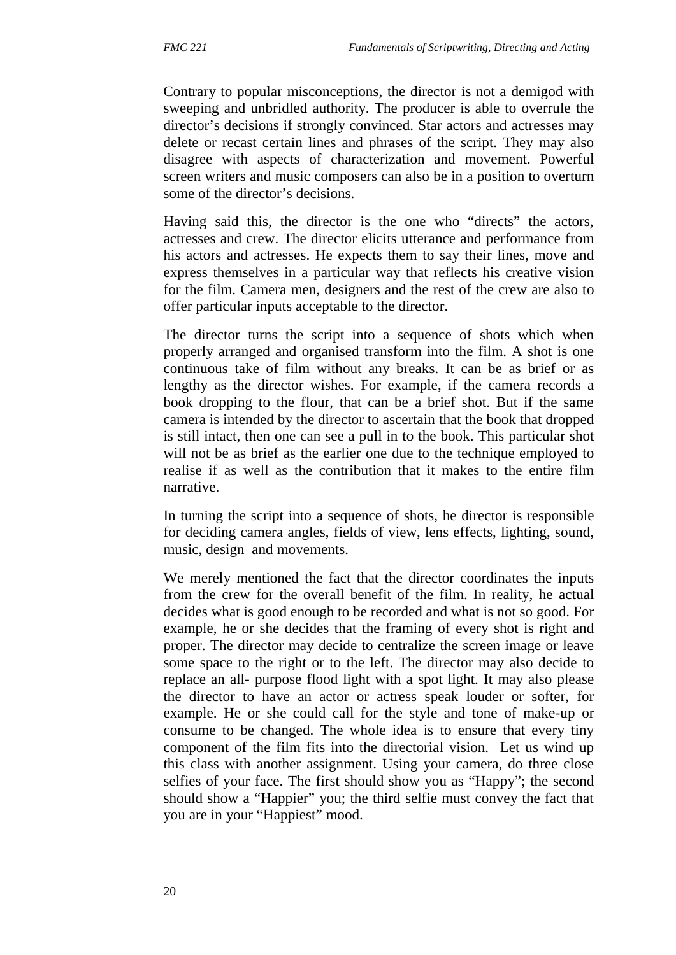Contrary to popular misconceptions, the director is not a demigod with sweeping and unbridled authority. The producer is able to overrule the director's decisions if strongly convinced. Star actors and actresses may delete or recast certain lines and phrases of the script. They may also disagree with aspects of characterization and movement. Powerful screen writers and music composers can also be in a position to overturn some of the director's decisions.

Having said this, the director is the one who "directs" the actors, actresses and crew. The director elicits utterance and performance from his actors and actresses. He expects them to say their lines, move and express themselves in a particular way that reflects his creative vision for the film. Camera men, designers and the rest of the crew are also to offer particular inputs acceptable to the director.

The director turns the script into a sequence of shots which when properly arranged and organised transform into the film. A shot is one continuous take of film without any breaks. It can be as brief or as lengthy as the director wishes. For example, if the camera records a book dropping to the flour, that can be a brief shot. But if the same camera is intended by the director to ascertain that the book that dropped is still intact, then one can see a pull in to the book. This particular shot will not be as brief as the earlier one due to the technique employed to realise if as well as the contribution that it makes to the entire film narrative.

In turning the script into a sequence of shots, he director is responsible for deciding camera angles, fields of view, lens effects, lighting, sound, music, design and movements.

We merely mentioned the fact that the director coordinates the inputs from the crew for the overall benefit of the film. In reality, he actual decides what is good enough to be recorded and what is not so good. For example, he or she decides that the framing of every shot is right and proper. The director may decide to centralize the screen image or leave some space to the right or to the left. The director may also decide to replace an all- purpose flood light with a spot light. It may also please the director to have an actor or actress speak louder or softer, for example. He or she could call for the style and tone of make-up or consume to be changed. The whole idea is to ensure that every tiny component of the film fits into the directorial vision. Let us wind up this class with another assignment. Using your camera, do three close selfies of your face. The first should show you as "Happy"; the second should show a "Happier" you; the third selfie must convey the fact that you are in your "Happiest" mood.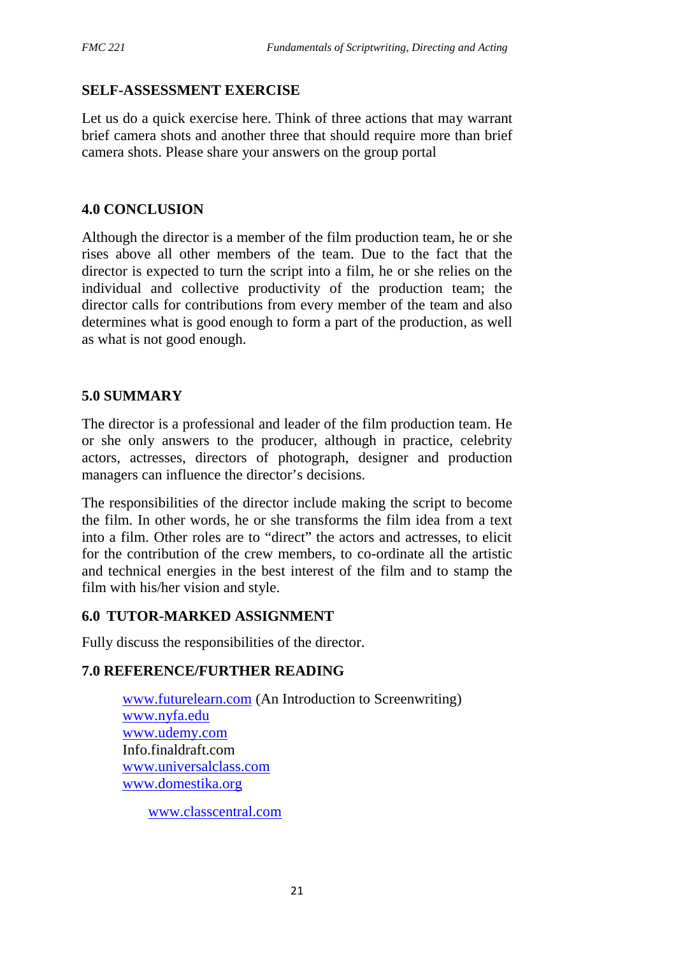# **SELF-ASSESSMENT EXERCISE**

Let us do a quick exercise here. Think of three actions that may warrant brief camera shots and another three that should require more than brief camera shots. Please share your answers on the group portal

### **4.0 CONCLUSION**

Although the director is a member of the film production team, he or she rises above all other members of the team. Due to the fact that the director is expected to turn the script into a film, he or she relies on the individual and collective productivity of the production team; the director calls for contributions from every member of the team and also determines what is good enough to form a part of the production, as well as what is not good enough.

### **5.0 SUMMARY**

The director is a professional and leader of the film production team. He or she only answers to the producer, although in practice, celebrity actors, actresses, directors of photograph, designer and production managers can influence the director's decisions.

The responsibilities of the director include making the script to become the film. In other words, he or she transforms the film idea from a text into a film. Other roles are to "direct" the actors and actresses, to elicit for the contribution of the crew members, to co-ordinate all the artistic and technical energies in the best interest of the film and to stamp the film with his/her vision and style.

### **6.0 TUTOR-MARKED ASSIGNMENT**

Fully discuss the responsibilities of the director.

# **7.0 REFERENCE/FURTHER READING**

www.futurelearn.com (An Introduction to Screenwriting) www.nyfa.edu www.udemy.com Info.finaldraft.com www.universalclass.com www.domestika.org

www.classcentral.com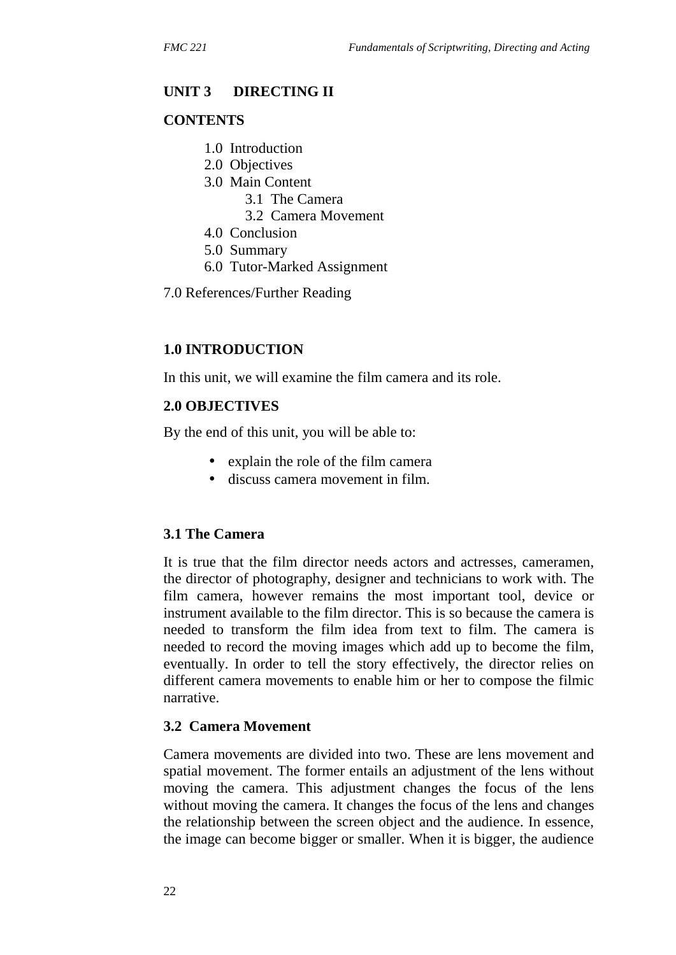### **UNIT 3 DIRECTING II**

#### **CONTENTS**

- 1.0 Introduction
- 2.0 Objectives
- 3.0 Main Content
	- 3.1 The Camera
	- 3.2 Camera Movement
- 4.0 Conclusion
- 5.0 Summary
- 6.0 Tutor-Marked Assignment
- 7.0 References/Further Reading

#### **1.0 INTRODUCTION**

In this unit, we will examine the film camera and its role.

#### **2.0 OBJECTIVES**

By the end of this unit, you will be able to:

- explain the role of the film camera
- discuss camera movement in film.

### **3.1 The Camera**

It is true that the film director needs actors and actresses, cameramen, the director of photography, designer and technicians to work with. The film camera, however remains the most important tool, device or instrument available to the film director. This is so because the camera is needed to transform the film idea from text to film. The camera is needed to record the moving images which add up to become the film, eventually. In order to tell the story effectively, the director relies on different camera movements to enable him or her to compose the filmic narrative.

#### **3.2 Camera Movement**

Camera movements are divided into two. These are lens movement and spatial movement. The former entails an adjustment of the lens without moving the camera. This adjustment changes the focus of the lens without moving the camera. It changes the focus of the lens and changes the relationship between the screen object and the audience. In essence, the image can become bigger or smaller. When it is bigger, the audience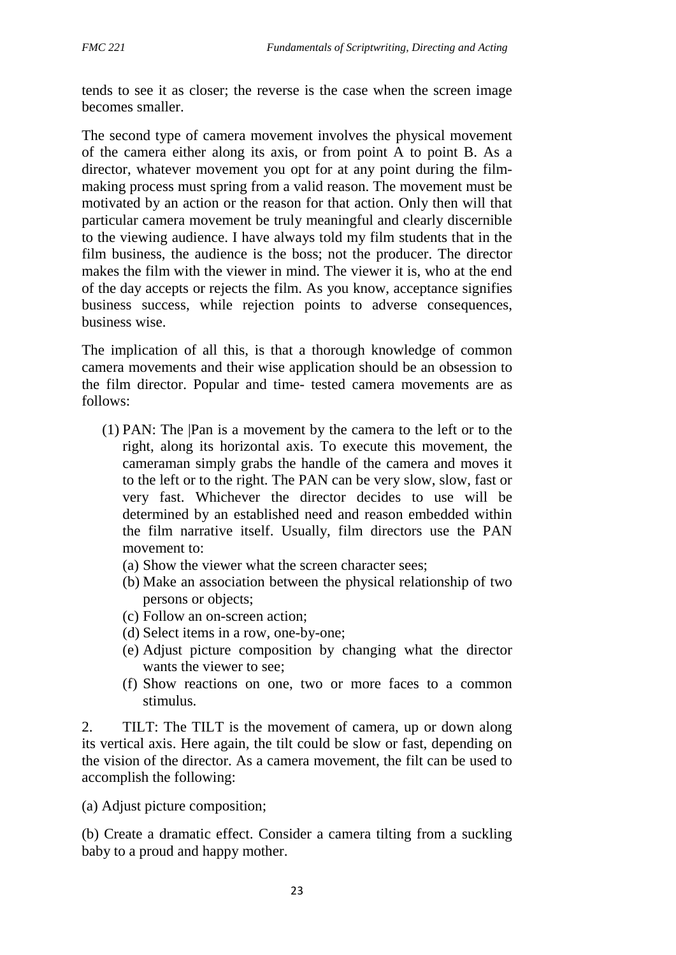tends to see it as closer; the reverse is the case when the screen image becomes smaller.

The second type of camera movement involves the physical movement of the camera either along its axis, or from point A to point B. As a director, whatever movement you opt for at any point during the film making process must spring from a valid reason. The movement must be motivated by an action or the reason for that action. Only then will that particular camera movement be truly meaningful and clearly discernible to the viewing audience. I have always told my film students that in the film business, the audience is the boss; not the producer. The director makes the film with the viewer in mind. The viewer it is, who at the end of the day accepts or rejects the film. As you know, acceptance signifies business success, while rejection points to adverse consequences, business wise.

The implication of all this, is that a thorough knowledge of common camera movements and their wise application should be an obsession to the film director. Popular and time- tested camera movements are as follows:

- (1) PAN: The |Pan is a movement by the camera to the left or to the right, along its horizontal axis. To execute this movement, the cameraman simply grabs the handle of the camera and moves it to the left or to the right. The PAN can be very slow, slow, fast or very fast. Whichever the director decides to use will be determined by an established need and reason embedded within the film narrative itself. Usually, film directors use the PAN movement to:
	- (a) Show the viewer what the screen character sees;
	- (b) Make an association between the physical relationship of two persons or objects;
	- (c) Follow an on-screen action;
	- (d) Select items in a row, one-by-one;
	- (e) Adjust picture composition by changing what the director wants the viewer to see;
	- (f) Show reactions on one, two or more faces to a common stimulus.

2. TILT: The TILT is the movement of camera, up or down along its vertical axis. Here again, the tilt could be slow or fast, depending on the vision of the director. As a camera movement, the filt can be used to accomplish the following:

(a) Adjust picture composition;

(b) Create a dramatic effect. Consider a camera tilting from a suckling baby to a proud and happy mother.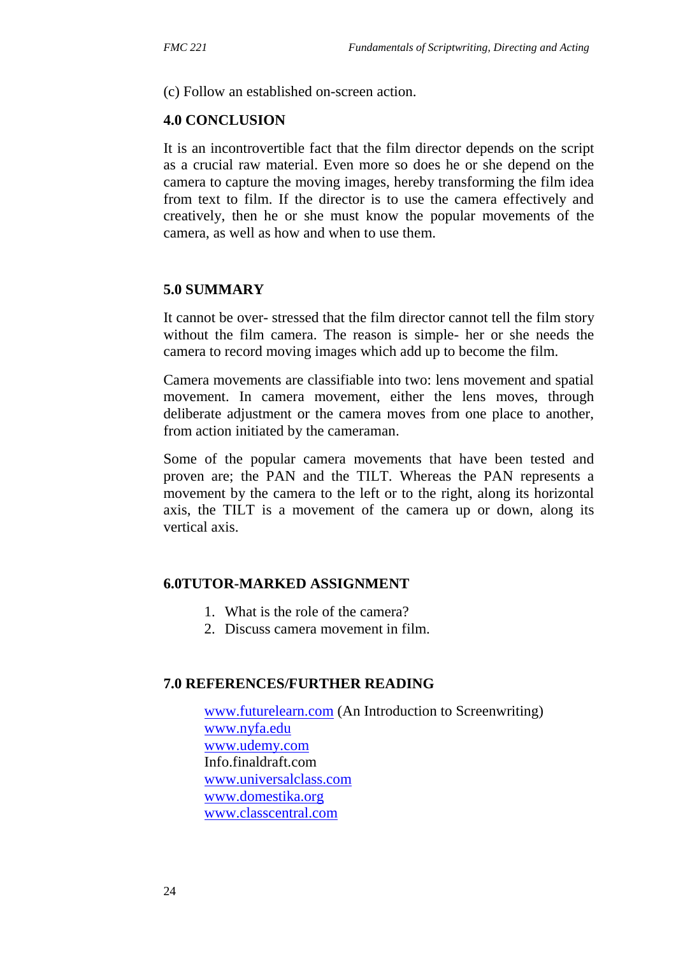(c) Follow an established on-screen action.

#### **4.0 CONCLUSION**

It is an incontrovertible fact that the film director depends on the script as a crucial raw material. Even more so does he or she depend on the camera to capture the moving images, hereby transforming the film idea from text to film. If the director is to use the camera effectively and creatively, then he or she must know the popular movements of the camera, as well as how and when to use them.

#### **5.0 SUMMARY**

It cannot be over- stressed that the film director cannot tell the film story without the film camera. The reason is simple- her or she needs the camera to record moving images which add up to become the film.

Camera movements are classifiable into two: lens movement and spatial movement. In camera movement, either the lens moves, through deliberate adjustment or the camera moves from one place to another, from action initiated by the cameraman.

Some of the popular camera movements that have been tested and proven are; the PAN and the TILT. Whereas the PAN represents a movement by the camera to the left or to the right, along its horizontal axis, the TILT is a movement of the camera up or down, along its vertical axis.

#### **6.0TUTOR-MARKED ASSIGNMENT**

- 1. What is the role of the camera?
- 2. Discuss camera movement in film.

#### **7.0 REFERENCES/FURTHER READING**

www.futurelearn.com (An Introduction to Screenwriting) www.nyfa.edu www.udemy.com Info.finaldraft.com www.universalclass.com www.domestika.org www.classcentral.com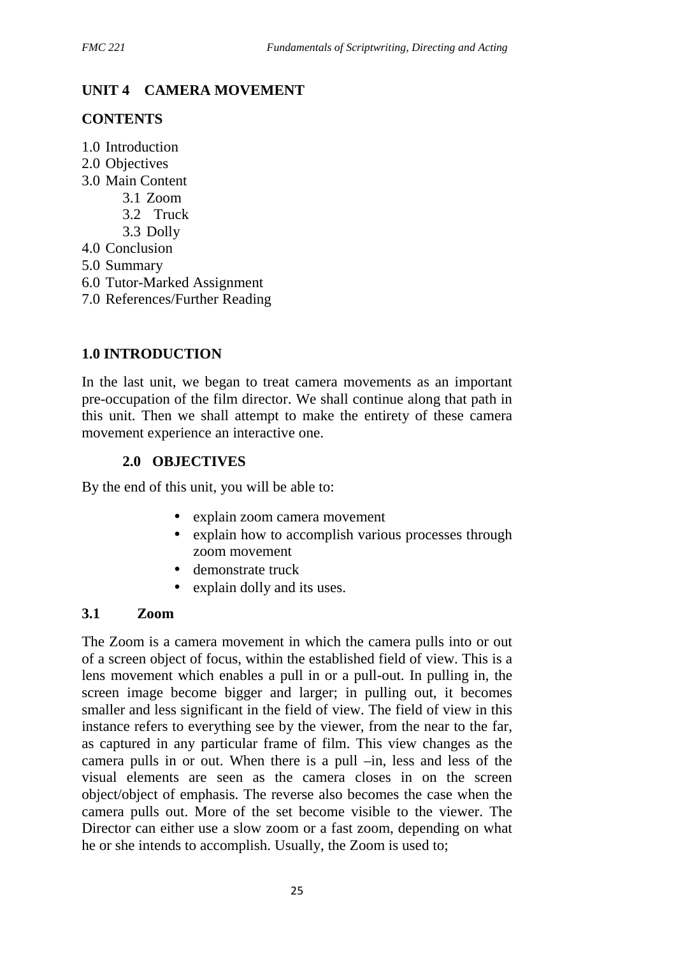# **UNIT 4 CAMERA MOVEMENT**

### **CONTENTS**

- 1.0 Introduction
- 2.0 Objectives
- 3.0 Main Content
	- 3.1 Zoom
	- 3.2 Truck
	- 3.3 Dolly
- 4.0 Conclusion
- 5.0 Summary
- 6.0 Tutor-Marked Assignment
- 7.0 References/Further Reading

# **1.0 INTRODUCTION**

In the last unit, we began to treat camera movements as an important pre-occupation of the film director. We shall continue along that path in this unit. Then we shall attempt to make the entirety of these camera movement experience an interactive one.

# **2.0 OBJECTIVES**

By the end of this unit, you will be able to:

- explain zoom camera movement
- explain how to accomplish various processes through zoom movement
- demonstrate truck
- explain dolly and its uses.

### **3.1 Zoom**

The Zoom is a camera movement in which the camera pulls into or out of a screen object of focus, within the established field of view. This is a lens movement which enables a pull in or a pull-out. In pulling in, the screen image become bigger and larger; in pulling out, it becomes smaller and less significant in the field of view. The field of view in this instance refers to everything see by the viewer, from the near to the far, as captured in any particular frame of film. This view changes as the camera pulls in or out. When there is a pull –in, less and less of the visual elements are seen as the camera closes in on the screen object/object of emphasis. The reverse also becomes the case when the camera pulls out. More of the set become visible to the viewer. The Director can either use a slow zoom or a fast zoom, depending on what he or she intends to accomplish. Usually, the Zoom is used to;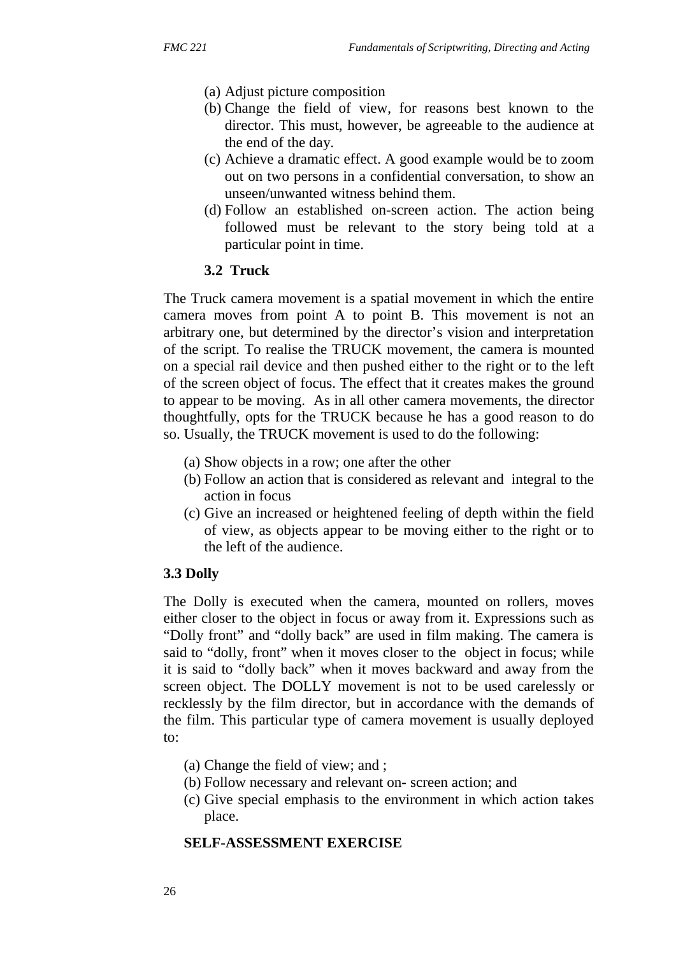- (a) Adjust picture composition
- (b) Change the field of view, for reasons best known to the director. This must, however, be agreeable to the audience at the end of the day.
- (c) Achieve a dramatic effect. A good example would be to zoom out on two persons in a confidential conversation, to show an unseen/unwanted witness behind them.
- (d) Follow an established on-screen action. The action being followed must be relevant to the story being told at a particular point in time.

### **3.2 Truck**

The Truck camera movement is a spatial movement in which the entire camera moves from point A to point B. This movement is not an arbitrary one, but determined by the director's vision and interpretation of the script. To realise the TRUCK movement, the camera is mounted on a special rail device and then pushed either to the right or to the left of the screen object of focus. The effect that it creates makes the ground to appear to be moving. As in all other camera movements, the director thoughtfully, opts for the TRUCK because he has a good reason to do so. Usually, the TRUCK movement is used to do the following:

- (a) Show objects in a row; one after the other
- (b) Follow an action that is considered as relevant and integral to the action in focus
- (c) Give an increased or heightened feeling of depth within the field of view, as objects appear to be moving either to the right or to the left of the audience.

#### **3.3 Dolly**

The Dolly is executed when the camera, mounted on rollers, moves either closer to the object in focus or away from it. Expressions such as "Dolly front" and "dolly back" are used in film making. The camera is said to "dolly, front" when it moves closer to the object in focus; while it is said to "dolly back" when it moves backward and away from the screen object. The DOLLY movement is not to be used carelessly or recklessly by the film director, but in accordance with the demands of the film. This particular type of camera movement is usually deployed to:

- (a) Change the field of view; and ;
- (b) Follow necessary and relevant on- screen action; and
- (c) Give special emphasis to the environment in which action takes place.

#### **SELF-ASSESSMENT EXERCISE**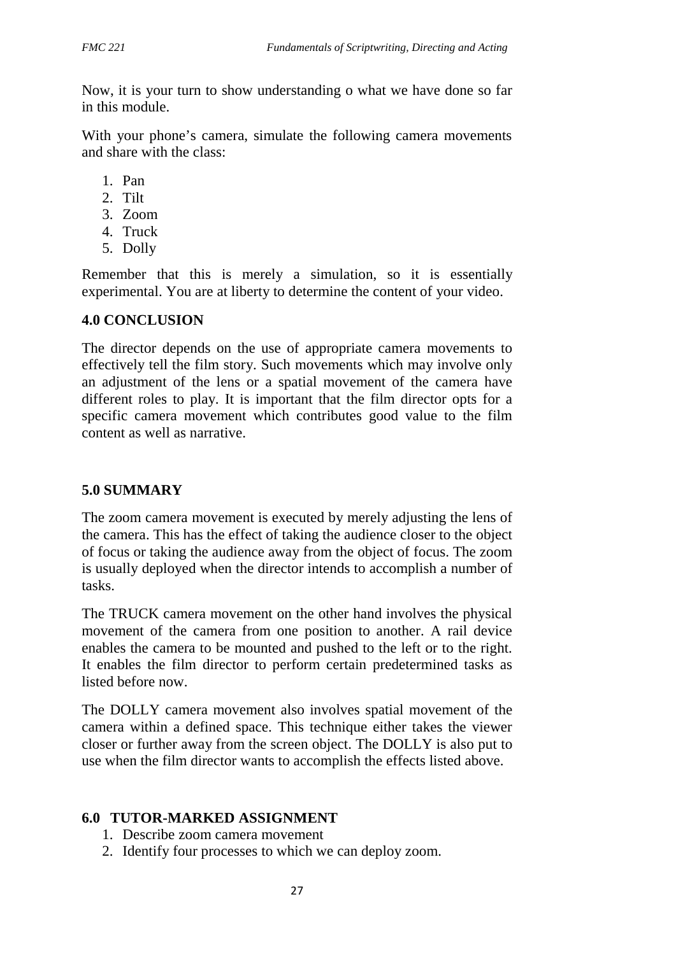Now, it is your turn to show understanding o what we have done so far in this module.

With your phone's camera, simulate the following camera movements and share with the class:

- 1. Pan
- 2. Tilt
- 3. Zoom
- 4. Truck
- 5. Dolly

Remember that this is merely a simulation, so it is essentially experimental. You are at liberty to determine the content of your video.

### **4.0 CONCLUSION**

The director depends on the use of appropriate camera movements to effectively tell the film story. Such movements which may involve only an adjustment of the lens or a spatial movement of the camera have different roles to play. It is important that the film director opts for a specific camera movement which contributes good value to the film content as well as narrative.

# **5.0 SUMMARY**

The zoom camera movement is executed by merely adjusting the lens of the camera. This has the effect of taking the audience closer to the object of focus or taking the audience away from the object of focus. The zoom is usually deployed when the director intends to accomplish a number of tasks.

The TRUCK camera movement on the other hand involves the physical movement of the camera from one position to another. A rail device enables the camera to be mounted and pushed to the left or to the right. It enables the film director to perform certain predetermined tasks as listed before now.

The DOLLY camera movement also involves spatial movement of the camera within a defined space. This technique either takes the viewer closer or further away from the screen object. The DOLLY is also put to use when the film director wants to accomplish the effects listed above.

# **6.0 TUTOR-MARKED ASSIGNMENT**

- 1. Describe zoom camera movement
- 2. Identify four processes to which we can deploy zoom.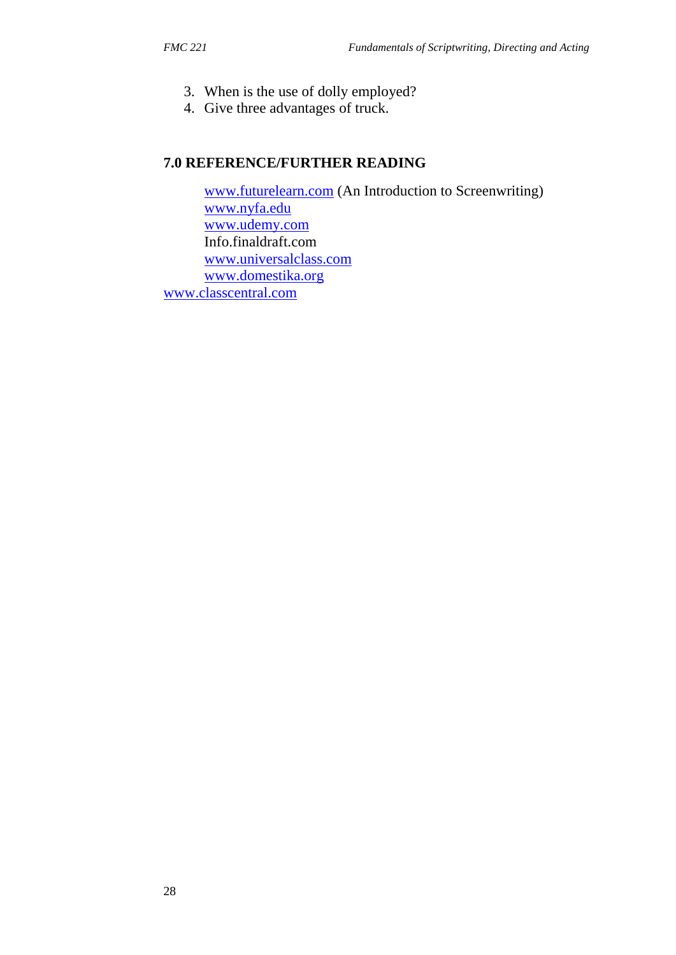- 3. When is the use of dolly employed?
- 4. Give three advantages of truck.

### **7.0 REFERENCE/FURTHER READING**

www.futurelearn.com (An Introduction to Screenwriting) www.nyfa.edu www.udemy.com Info.finaldraft.com www.universalclass.com www.domestika.org www.classcentral.com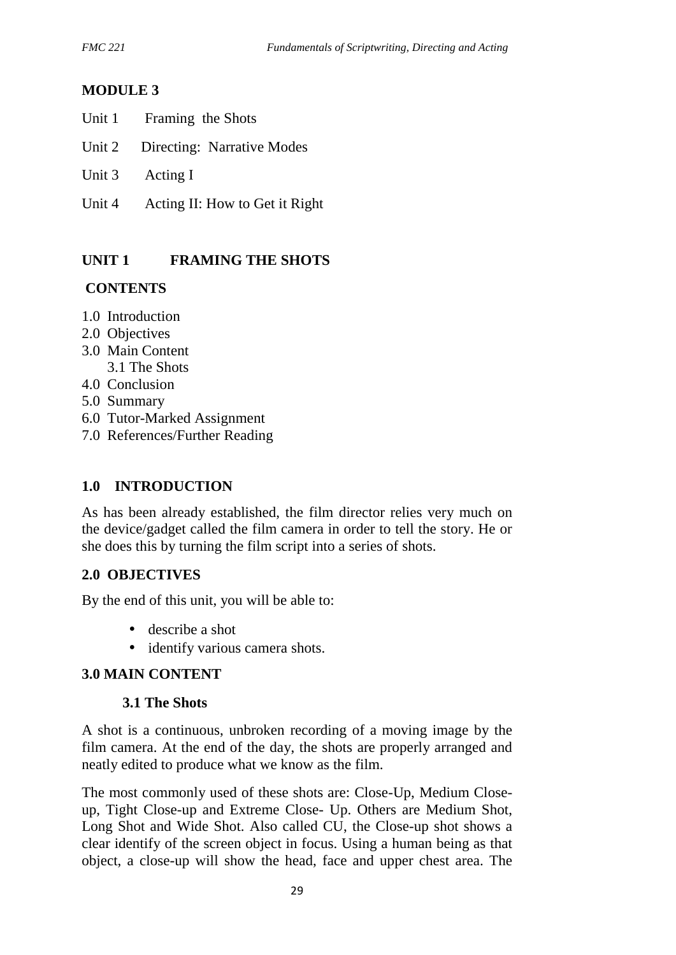# **MODULE 3**

- Unit 2 Directing: Narrative Modes
- Unit 3 Acting I
- Unit 4 Acting II: How to Get it Right

# **UNIT 1 FRAMING THE SHOTS**

### **CONTENTS**

- 1.0 Introduction
- 2.0 Objectives
- 3.0 Main Content 3.1 The Shots
- 4.0 Conclusion
- 5.0 Summary
- 6.0 Tutor-Marked Assignment
- 7.0 References/Further Reading

### **1.0 INTRODUCTION**

As has been already established, the film director relies very much on the device/gadget called the film camera in order to tell the story. He or she does this by turning the film script into a series of shots.

### **2.0 OBJECTIVES**

By the end of this unit, you will be able to:

- describe a shot
- identify various camera shots.

### **3.0 MAIN CONTENT**

#### **3.1 The Shots**

A shot is a continuous, unbroken recording of a moving image by the film camera. At the end of the day, the shots are properly arranged and neatly edited to produce what we know as the film.

The most commonly used of these shots are: Close-Up, Medium Close up, Tight Close-up and Extreme Close- Up. Others are Medium Shot, Long Shot and Wide Shot. Also called CU, the Close-up shot shows a clear identify of the screen object in focus. Using a human being as that object, a close-up will show the head, face and upper chest area. The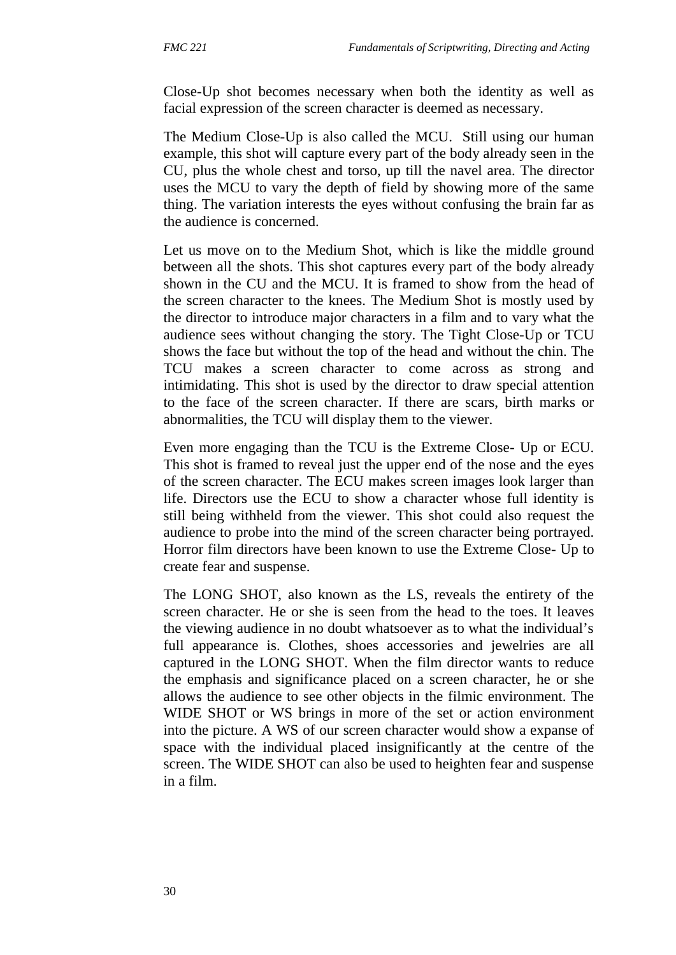Close-Up shot becomes necessary when both the identity as well as facial expression of the screen character is deemed as necessary.

The Medium Close-Up is also called the MCU. Still using our human example, this shot will capture every part of the body already seen in the CU, plus the whole chest and torso, up till the navel area. The director uses the MCU to vary the depth of field by showing more of the same thing. The variation interests the eyes without confusing the brain far as the audience is concerned.

Let us move on to the Medium Shot, which is like the middle ground between all the shots. This shot captures every part of the body already shown in the CU and the MCU. It is framed to show from the head of the screen character to the knees. The Medium Shot is mostly used by the director to introduce major characters in a film and to vary what the audience sees without changing the story. The Tight Close-Up or TCU shows the face but without the top of the head and without the chin. The TCU makes a screen character to come across as strong and intimidating. This shot is used by the director to draw special attention to the face of the screen character. If there are scars, birth marks or abnormalities, the TCU will display them to the viewer.

Even more engaging than the TCU is the Extreme Close- Up or ECU. This shot is framed to reveal just the upper end of the nose and the eyes of the screen character. The ECU makes screen images look larger than life. Directors use the ECU to show a character whose full identity is still being withheld from the viewer. This shot could also request the audience to probe into the mind of the screen character being portrayed. Horror film directors have been known to use the Extreme Close- Up to create fear and suspense.

The LONG SHOT, also known as the LS, reveals the entirety of the screen character. He or she is seen from the head to the toes. It leaves the viewing audience in no doubt whatsoever as to what the individual's full appearance is. Clothes, shoes accessories and jewelries are all captured in the LONG SHOT. When the film director wants to reduce the emphasis and significance placed on a screen character, he or she allows the audience to see other objects in the filmic environment. The WIDE SHOT or WS brings in more of the set or action environment into the picture. A WS of our screen character would show a expanse of space with the individual placed insignificantly at the centre of the screen. The WIDE SHOT can also be used to heighten fear and suspense in a film.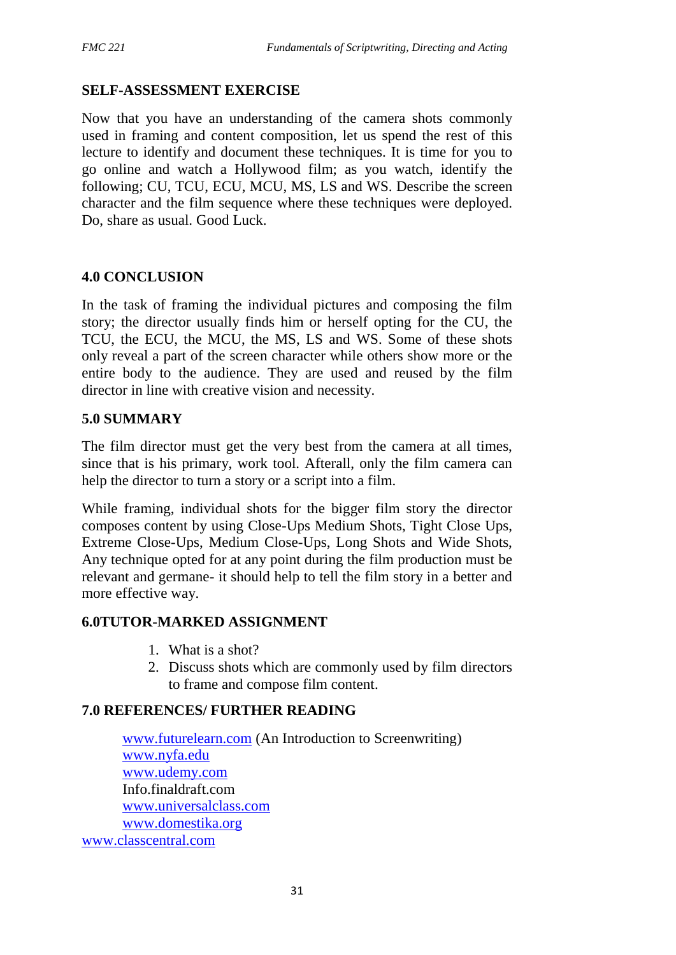### **SELF-ASSESSMENT EXERCISE**

Now that you have an understanding of the camera shots commonly used in framing and content composition, let us spend the rest of this lecture to identify and document these techniques. It is time for you to go online and watch a Hollywood film; as you watch, identify the following; CU, TCU, ECU, MCU, MS, LS and WS. Describe the screen character and the film sequence where these techniques were deployed. Do, share as usual. Good Luck.

### **4.0 CONCLUSION**

In the task of framing the individual pictures and composing the film story; the director usually finds him or herself opting for the CU, the TCU, the ECU, the MCU, the MS, LS and WS. Some of these shots only reveal a part of the screen character while others show more or the entire body to the audience. They are used and reused by the film director in line with creative vision and necessity.

### **5.0 SUMMARY**

The film director must get the very best from the camera at all times, since that is his primary, work tool. Afterall, only the film camera can help the director to turn a story or a script into a film.

While framing, individual shots for the bigger film story the director composes content by using Close-Ups Medium Shots, Tight Close Ups, Extreme Close-Ups, Medium Close-Ups, Long Shots and Wide Shots, Any technique opted for at any point during the film production must be relevant and germane- it should help to tell the film story in a better and more effective way.

### **6.0TUTOR-MARKED ASSIGNMENT**

- 1. What is a shot?
- 2. Discuss shots which are commonly used by film directors to frame and compose film content.

### **7.0 REFERENCES/ FURTHER READING**

www.futurelearn.com (An Introduction to Screenwriting) www.nyfa.edu www.udemy.com Info.finaldraft.com www.universalclass.com www.domestika.org www.classcentral.com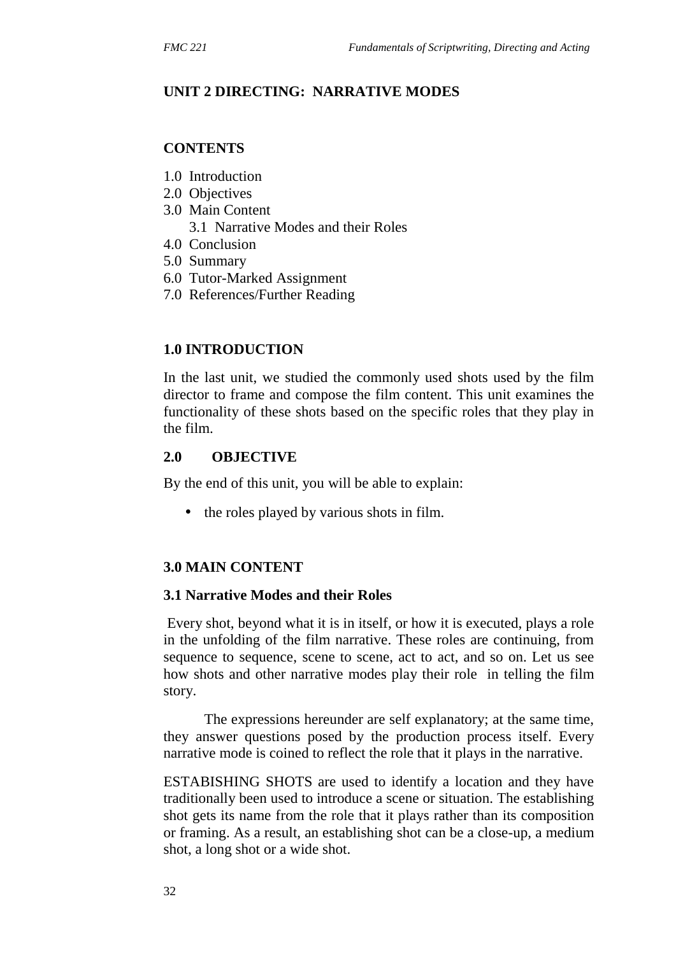### **UNIT 2 DIRECTING: NARRATIVE MODES**

#### **CONTENTS**

- 1.0 Introduction
- 2.0 Objectives
- 3.0 Main Content
	- 3.1 Narrative Modes and their Roles
- 4.0 Conclusion
- 5.0 Summary
- 6.0 Tutor-Marked Assignment
- 7.0 References/Further Reading

### **1.0 INTRODUCTION**

In the last unit, we studied the commonly used shots used by the film director to frame and compose the film content. This unit examines the functionality of these shots based on the specific roles that they play in the film.

### **2.0 OBJECTIVE**

By the end of this unit, you will be able to explain:

the roles played by various shots in film.

### **3.0 MAIN CONTENT**

#### **3.1 Narrative Modes and their Roles**

Every shot, beyond what it is in itself, or how it is executed, plays a role in the unfolding of the film narrative. These roles are continuing, from sequence to sequence, scene to scene, act to act, and so on. Let us see how shots and other narrative modes play their role in telling the film story.

The expressions hereunder are self explanatory; at the same time, they answer questions posed by the production process itself. Every narrative mode is coined to reflect the role that it plays in the narrative.

ESTABISHING SHOTS are used to identify a location and they have traditionally been used to introduce a scene or situation. The establishing shot gets its name from the role that it plays rather than its composition or framing. As a result, an establishing shot can be a close-up, a medium shot, a long shot or a wide shot.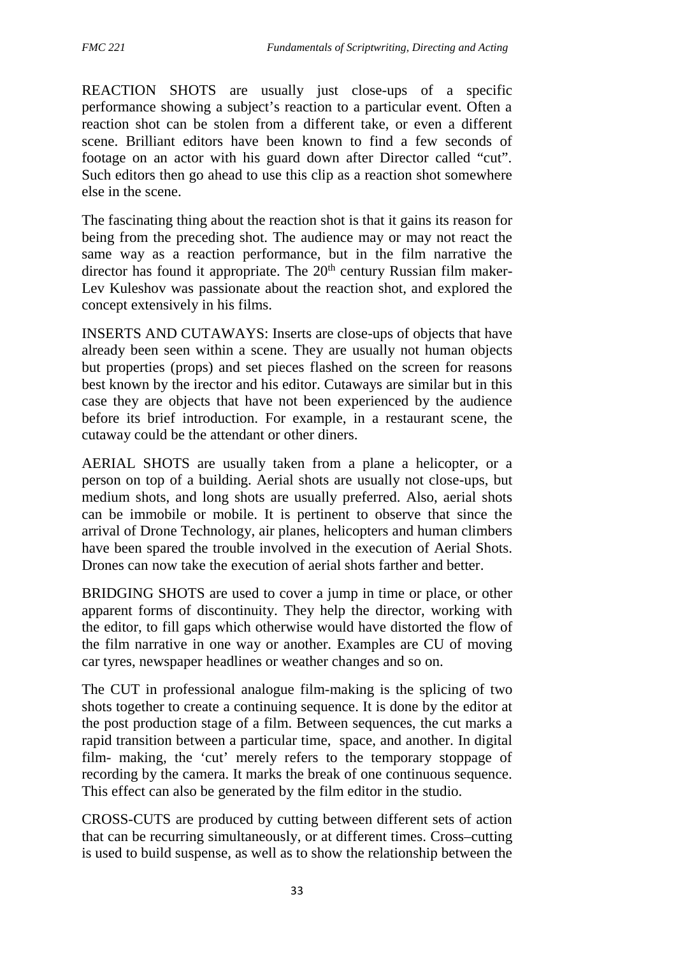REACTION SHOTS are usually just close-ups of a specific performance showing a subject's reaction to a particular event. Often a reaction shot can be stolen from a different take, or even a different scene. Brilliant editors have been known to find a few seconds of footage on an actor with his guard down after Director called "cut". Such editors then go ahead to use this clip as a reaction shot somewhere else in the scene.

The fascinating thing about the reaction shot is that it gains its reason for being from the preceding shot. The audience may or may not react the same way as a reaction performance, but in the film narrative the director has found it appropriate. The  $20<sup>th</sup>$  century Russian film maker-Lev Kuleshov was passionate about the reaction shot, and explored the concept extensively in his films.

INSERTS AND CUTAWAYS: Inserts are close-ups of objects that have already been seen within a scene. They are usually not human objects but properties (props) and set pieces flashed on the screen for reasons best known by the irector and his editor. Cutaways are similar but in this case they are objects that have not been experienced by the audience before its brief introduction. For example, in a restaurant scene, the cutaway could be the attendant or other diners.

AERIAL SHOTS are usually taken from a plane a helicopter, or a person on top of a building. Aerial shots are usually not close-ups, but medium shots, and long shots are usually preferred. Also, aerial shots can be immobile or mobile. It is pertinent to observe that since the arrival of Drone Technology, air planes, helicopters and human climbers have been spared the trouble involved in the execution of Aerial Shots. Drones can now take the execution of aerial shots farther and better.

BRIDGING SHOTS are used to cover a jump in time or place, or other apparent forms of discontinuity. They help the director, working with the editor, to fill gaps which otherwise would have distorted the flow of the film narrative in one way or another. Examples are CU of moving car tyres, newspaper headlines or weather changes and so on.

The CUT in professional analogue film-making is the splicing of two shots together to create a continuing sequence. It is done by the editor at the post production stage of a film. Between sequences, the cut marks a rapid transition between a particular time, space, and another. In digital film- making, the 'cut' merely refers to the temporary stoppage of recording by the camera. It marks the break of one continuous sequence. This effect can also be generated by the film editor in the studio.

CROSS-CUTS are produced by cutting between different sets of action that can be recurring simultaneously, or at different times. Cross–cutting is used to build suspense, as well as to show the relationship between the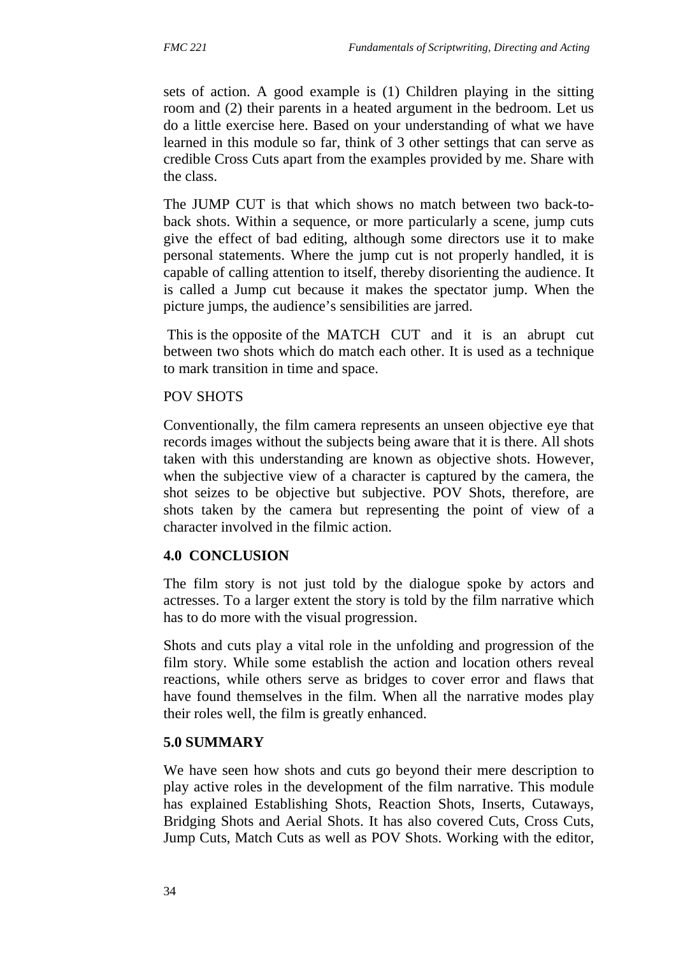sets of action. A good example is (1) Children playing in the sitting room and (2) their parents in a heated argument in the bedroom. Let us do a little exercise here. Based on your understanding of what we have learned in this module so far, think of 3 other settings that can serve as credible Cross Cuts apart from the examples provided by me. Share with the class.

The JUMP CUT is that which shows no match between two back-to back shots. Within a sequence, or more particularly a scene, jump cuts give the effect of bad editing, although some directors use it to make personal statements. Where the jump cut is not properly handled, it is capable of calling attention to itself, thereby disorienting the audience. It is called a Jump cut because it makes the spectator jump. When the picture jumps, the audience's sensibilities are jarred.

This is the opposite of the MATCH CUT and it is an abrupt cut between two shots which do match each other. It is used as a technique to mark transition in time and space.

### POV SHOTS

Conventionally, the film camera represents an unseen objective eye that records images without the subjects being aware that it is there. All shots taken with this understanding are known as objective shots. However, when the subjective view of a character is captured by the camera, the shot seizes to be objective but subjective. POV Shots, therefore, are shots taken by the camera but representing the point of view of a character involved in the filmic action.

### **4.0 CONCLUSION**

The film story is not just told by the dialogue spoke by actors and actresses. To a larger extent the story is told by the film narrative which has to do more with the visual progression.

Shots and cuts play a vital role in the unfolding and progression of the film story. While some establish the action and location others reveal reactions, while others serve as bridges to cover error and flaws that have found themselves in the film. When all the narrative modes play their roles well, the film is greatly enhanced.

### **5.0 SUMMARY**

We have seen how shots and cuts go beyond their mere description to play active roles in the development of the film narrative. This module has explained Establishing Shots, Reaction Shots, Inserts, Cutaways, Bridging Shots and Aerial Shots. It has also covered Cuts, Cross Cuts, Jump Cuts, Match Cuts as well as POV Shots. Working with the editor,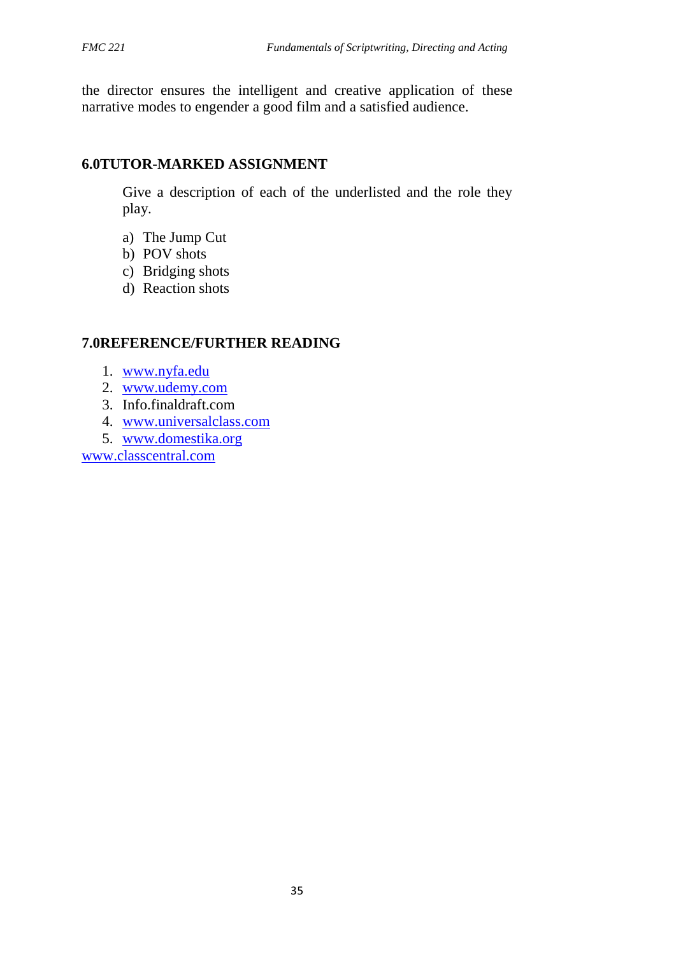the director ensures the intelligent and creative application of these narrative modes to engender a good film and a satisfied audience.

### **6.0TUTOR-MARKED ASSIGNMENT**

Give a description of each of the underlisted and the role they play.

- a) The Jump Cut
- b) POV shots
- c) Bridging shots
- d) Reaction shots

### **7.0REFERENCE/FURTHER READING**

- 1. www.nyfa.edu
- 2. www.udemy.com
- 3. Info.finaldraft.com
- 4. www.universalclass.com
- 5. www.domestika.org

www.classcentral.com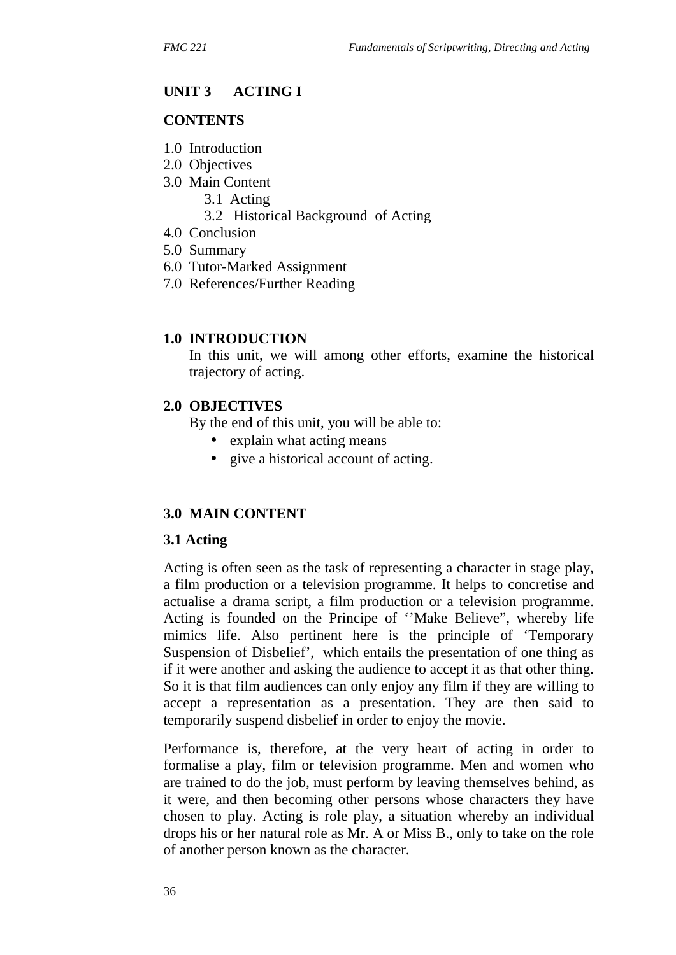### **UNIT 3 ACTING I**

#### **CONTENTS**

- 1.0 Introduction
- 2.0 Objectives
- 3.0 Main Content
	- 3.1 Acting
	- 3.2 Historical Background of Acting
- 4.0 Conclusion
- 5.0 Summary
- 6.0 Tutor-Marked Assignment
- 7.0 References/Further Reading

#### **1.0 INTRODUCTION**

In this unit, we will among other efforts, examine the historical trajectory of acting.

#### **2.0 OBJECTIVES**

By the end of this unit, you will be able to:

- explain what acting means
- give a historical account of acting.

#### **3.0 MAIN CONTENT**

#### **3.1 Acting**

Acting is often seen as the task of representing a character in stage play, a film production or a television programme. It helps to concretise and actualise a drama script, a film production or a television programme. Acting is founded on the Principe of ''Make Believe", whereby life mimics life. Also pertinent here is the principle of 'Temporary Suspension of Disbelief', which entails the presentation of one thing as if it were another and asking the audience to accept it as that other thing. So it is that film audiences can only enjoy any film if they are willing to accept a representation as a presentation. They are then said to temporarily suspend disbelief in order to enjoy the movie.

Performance is, therefore, at the very heart of acting in order to formalise a play, film or television programme. Men and women who are trained to do the job, must perform by leaving themselves behind, as it were, and then becoming other persons whose characters they have chosen to play. Acting is role play, a situation whereby an individual drops his or her natural role as Mr. A or Miss B., only to take on the role of another person known as the character.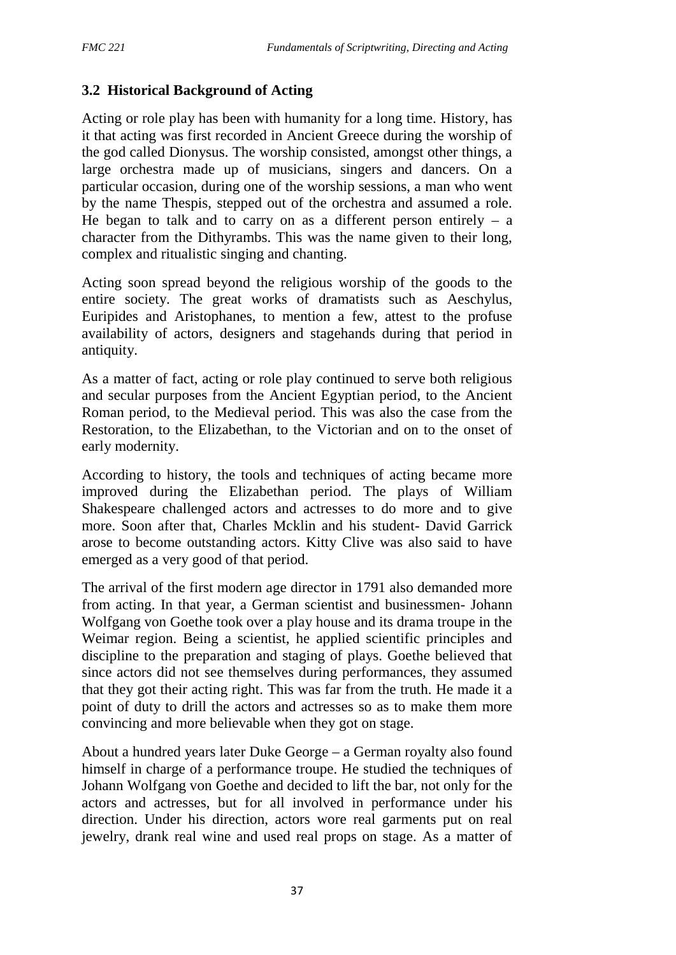# **3.2 Historical Background of Acting**

Acting or role play has been with humanity for a long time. History, has it that acting was first recorded in Ancient Greece during the worship of the god called Dionysus. The worship consisted, amongst other things, a large orchestra made up of musicians, singers and dancers. On a particular occasion, during one of the worship sessions, a man who went by the name Thespis, stepped out of the orchestra and assumed a role. He began to talk and to carry on as a different person entirely  $-$  a character from the Dithyrambs. This was the name given to their long, complex and ritualistic singing and chanting.

Acting soon spread beyond the religious worship of the goods to the entire society. The great works of dramatists such as Aeschylus, Euripides and Aristophanes, to mention a few, attest to the profuse availability of actors, designers and stagehands during that period in antiquity.

As a matter of fact, acting or role play continued to serve both religious and secular purposes from the Ancient Egyptian period, to the Ancient Roman period, to the Medieval period. This was also the case from the Restoration, to the Elizabethan, to the Victorian and on to the onset of early modernity.

According to history, the tools and techniques of acting became more improved during the Elizabethan period. The plays of William Shakespeare challenged actors and actresses to do more and to give more. Soon after that, Charles Mcklin and his student- David Garrick arose to become outstanding actors. Kitty Clive was also said to have emerged as a very good of that period.

The arrival of the first modern age director in 1791 also demanded more from acting. In that year, a German scientist and businessmen- Johann Wolfgang von Goethe took over a play house and its drama troupe in the Weimar region. Being a scientist, he applied scientific principles and discipline to the preparation and staging of plays. Goethe believed that since actors did not see themselves during performances, they assumed that they got their acting right. This was far from the truth. He made it a point of duty to drill the actors and actresses so as to make them more convincing and more believable when they got on stage.

About a hundred years later Duke George – a German royalty also found himself in charge of a performance troupe. He studied the techniques of Johann Wolfgang von Goethe and decided to lift the bar, not only for the actors and actresses, but for all involved in performance under his direction. Under his direction, actors wore real garments put on real jewelry, drank real wine and used real props on stage. As a matter of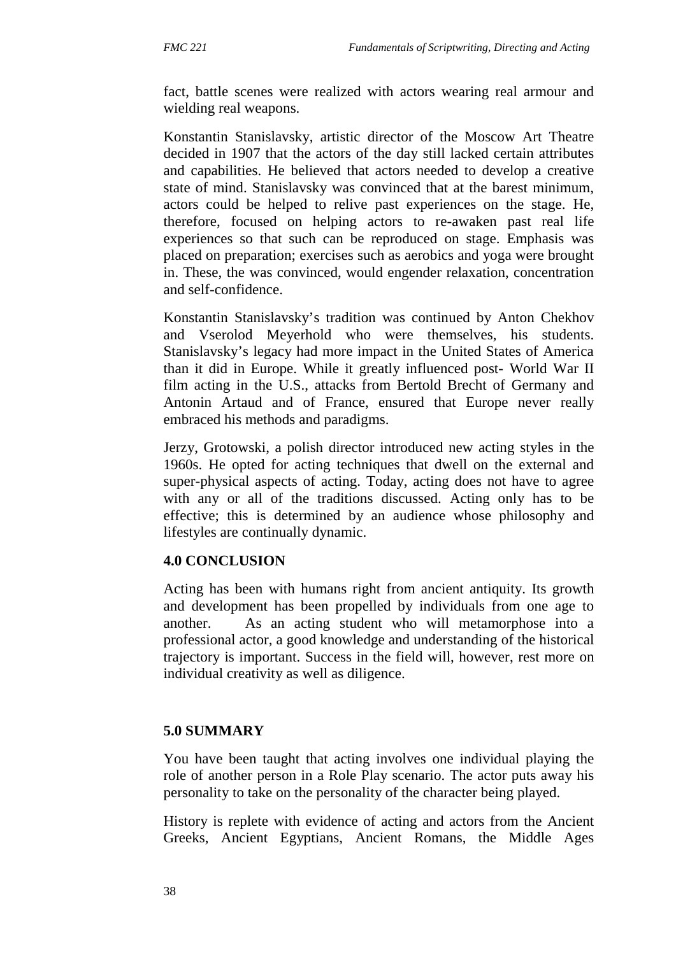fact, battle scenes were realized with actors wearing real armour and wielding real weapons.

Konstantin Stanislavsky, artistic director of the Moscow Art Theatre decided in 1907 that the actors of the day still lacked certain attributes and capabilities. He believed that actors needed to develop a creative state of mind. Stanislavsky was convinced that at the barest minimum, actors could be helped to relive past experiences on the stage. He, therefore, focused on helping actors to re-awaken past real life experiences so that such can be reproduced on stage. Emphasis was placed on preparation; exercises such as aerobics and yoga were brought in. These, the was convinced, would engender relaxation, concentration and self-confidence.

Konstantin Stanislavsky's tradition was continued by Anton Chekhov and Vserolod Meyerhold who were themselves, his students. Stanislavsky's legacy had more impact in the United States of America than it did in Europe. While it greatly influenced post- World War II film acting in the U.S., attacks from Bertold Brecht of Germany and Antonin Artaud and of France, ensured that Europe never really embraced his methods and paradigms.

Jerzy, Grotowski, a polish director introduced new acting styles in the 1960s. He opted for acting techniques that dwell on the external and super-physical aspects of acting. Today, acting does not have to agree with any or all of the traditions discussed. Acting only has to be effective; this is determined by an audience whose philosophy and lifestyles are continually dynamic.

#### **4.0 CONCLUSION**

Acting has been with humans right from ancient antiquity. Its growth and development has been propelled by individuals from one age to another. As an acting student who will metamorphose into a professional actor, a good knowledge and understanding of the historical trajectory is important. Success in the field will, however, rest more on individual creativity as well as diligence.

### **5.0 SUMMARY**

You have been taught that acting involves one individual playing the role of another person in a Role Play scenario. The actor puts away his personality to take on the personality of the character being played.

History is replete with evidence of acting and actors from the Ancient Greeks, Ancient Egyptians, Ancient Romans, the Middle Ages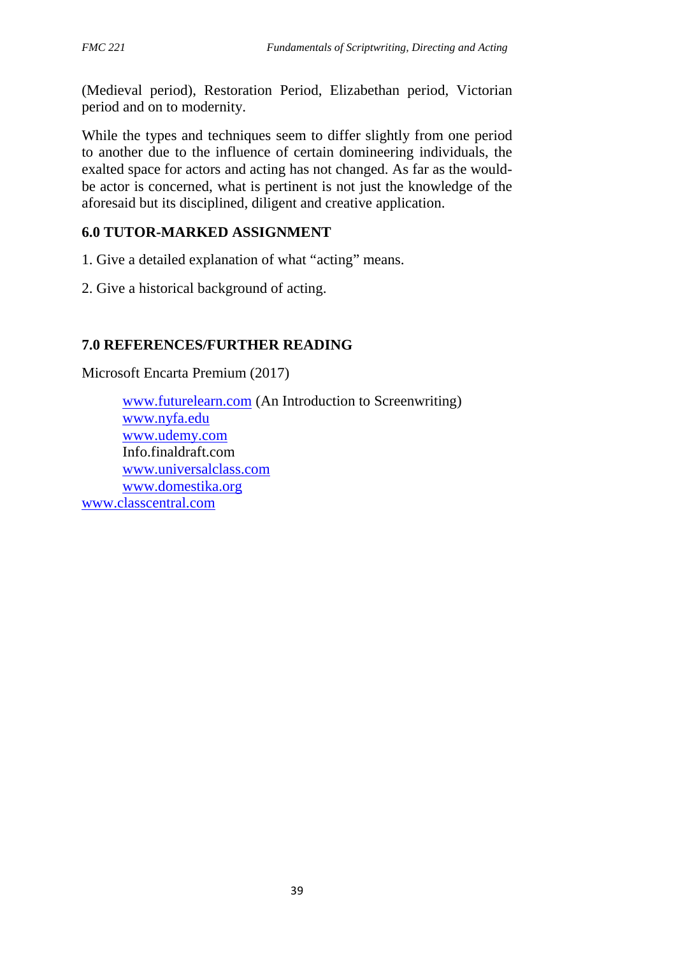(Medieval period), Restoration Period, Elizabethan period, Victorian period and on to modernity.

While the types and techniques seem to differ slightly from one period to another due to the influence of certain domineering individuals, the exalted space for actors and acting has not changed. As far as the would be actor is concerned, what is pertinent is not just the knowledge of the aforesaid but its disciplined, diligent and creative application.

# **6.0 TUTOR-MARKED ASSIGNMENT**

1. Give a detailed explanation of what "acting" means.

2. Give a historical background of acting.

# **7.0 REFERENCES/FURTHER READING**

Microsoft Encarta Premium (2017)

www.futurelearn.com (An Introduction to Screenwriting) www.nyfa.edu www.udemy.com Info.finaldraft.com www.universalclass.com www.domestika.org www.classcentral.com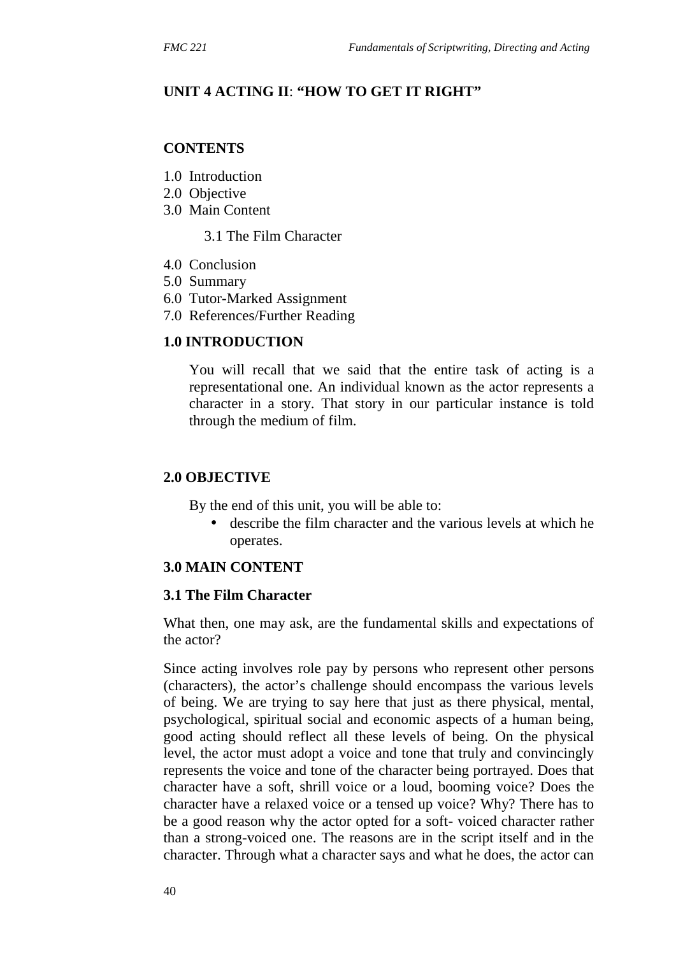### **UNIT 4 ACTING II**: **"HOW TO GET IT RIGHT"**

#### **CONTENTS**

- 1.0 Introduction
- 2.0 Objective
- 3.0 Main Content
	- 3.1 The Film Character
- 4.0 Conclusion
- 5.0 Summary
- 6.0 Tutor-Marked Assignment
- 7.0 References/Further Reading

#### **1.0 INTRODUCTION**

You will recall that we said that the entire task of acting is a representational one. An individual known as the actor represents a character in a story. That story in our particular instance is told through the medium of film.

#### **2.0 OBJECTIVE**

By the end of this unit, you will be able to:

 describe the film character and the various levels at which he operates.

### **3.0 MAIN CONTENT**

#### **3.1 The Film Character**

What then, one may ask, are the fundamental skills and expectations of the actor?

Since acting involves role pay by persons who represent other persons (characters), the actor's challenge should encompass the various levels of being. We are trying to say here that just as there physical, mental, psychological, spiritual social and economic aspects of a human being, good acting should reflect all these levels of being. On the physical level, the actor must adopt a voice and tone that truly and convincingly represents the voice and tone of the character being portrayed. Does that character have a soft, shrill voice or a loud, booming voice? Does the character have a relaxed voice or a tensed up voice? Why? There has to be a good reason why the actor opted for a soft- voiced character rather than a strong-voiced one. The reasons are in the script itself and in the character. Through what a character says and what he does, the actor can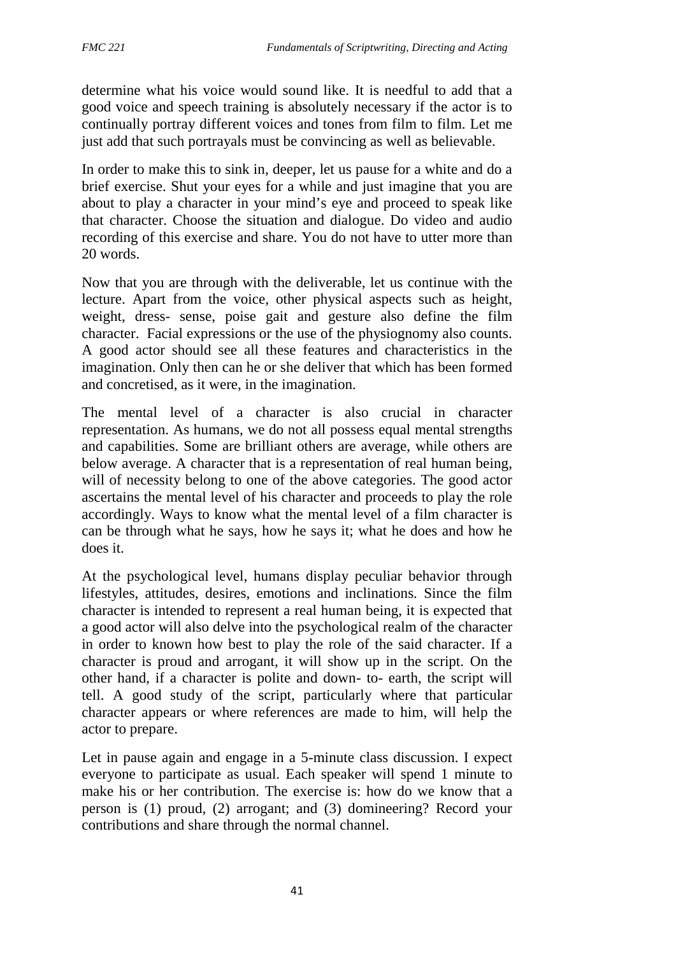determine what his voice would sound like. It is needful to add that a good voice and speech training is absolutely necessary if the actor is to continually portray different voices and tones from film to film. Let me just add that such portrayals must be convincing as well as believable.

In order to make this to sink in, deeper, let us pause for a white and do a brief exercise. Shut your eyes for a while and just imagine that you are about to play a character in your mind's eye and proceed to speak like that character. Choose the situation and dialogue. Do video and audio recording of this exercise and share. You do not have to utter more than 20 words.

Now that you are through with the deliverable, let us continue with the lecture. Apart from the voice, other physical aspects such as height, weight, dress- sense, poise gait and gesture also define the film character. Facial expressions or the use of the physiognomy also counts. A good actor should see all these features and characteristics in the imagination. Only then can he or she deliver that which has been formed and concretised, as it were, in the imagination.

The mental level of a character is also crucial in character representation. As humans, we do not all possess equal mental strengths and capabilities. Some are brilliant others are average, while others are below average. A character that is a representation of real human being, will of necessity belong to one of the above categories. The good actor ascertains the mental level of his character and proceeds to play the role accordingly. Ways to know what the mental level of a film character is can be through what he says, how he says it; what he does and how he does it.

At the psychological level, humans display peculiar behavior through lifestyles, attitudes, desires, emotions and inclinations. Since the film character is intended to represent a real human being, it is expected that a good actor will also delve into the psychological realm of the character in order to known how best to play the role of the said character. If a character is proud and arrogant, it will show up in the script. On the other hand, if a character is polite and down- to- earth, the script will tell. A good study of the script, particularly where that particular character appears or where references are made to him, will help the actor to prepare.

Let in pause again and engage in a 5-minute class discussion. I expect everyone to participate as usual. Each speaker will spend 1 minute to make his or her contribution. The exercise is: how do we know that a person is (1) proud, (2) arrogant; and (3) domineering? Record your contributions and share through the normal channel.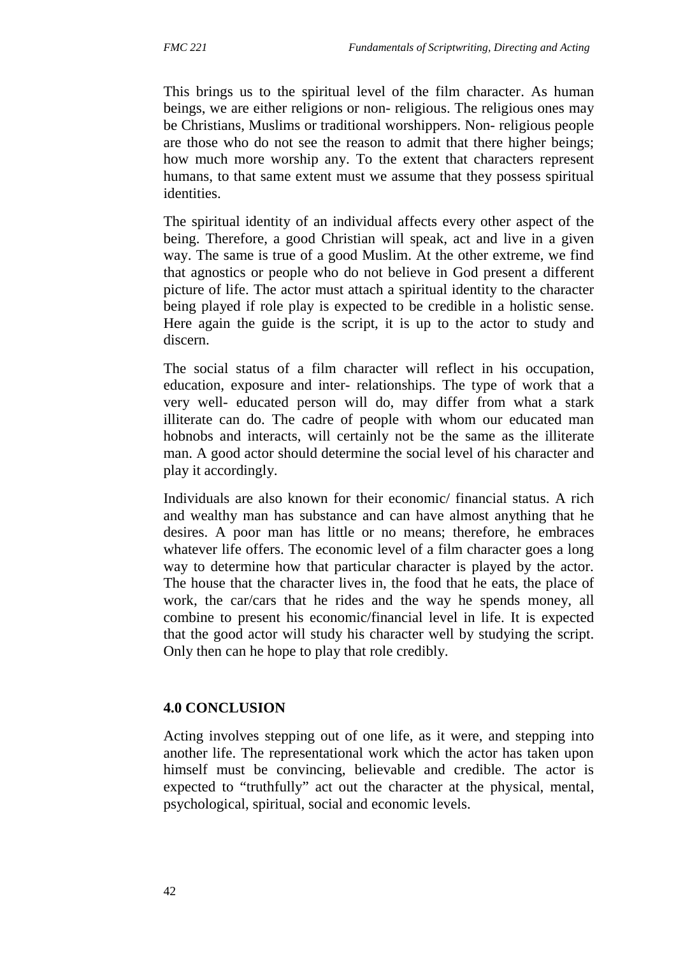This brings us to the spiritual level of the film character. As human beings, we are either religions or non- religious. The religious ones may be Christians, Muslims or traditional worshippers. Non- religious people are those who do not see the reason to admit that there higher beings; how much more worship any. To the extent that characters represent humans, to that same extent must we assume that they possess spiritual identities.

The spiritual identity of an individual affects every other aspect of the being. Therefore, a good Christian will speak, act and live in a given way. The same is true of a good Muslim. At the other extreme, we find that agnostics or people who do not believe in God present a different picture of life. The actor must attach a spiritual identity to the character being played if role play is expected to be credible in a holistic sense. Here again the guide is the script, it is up to the actor to study and discern.

The social status of a film character will reflect in his occupation, education, exposure and inter- relationships. The type of work that a very well- educated person will do, may differ from what a stark illiterate can do. The cadre of people with whom our educated man hobnobs and interacts, will certainly not be the same as the illiterate man. A good actor should determine the social level of his character and play it accordingly.

Individuals are also known for their economic/ financial status. A rich and wealthy man has substance and can have almost anything that he desires. A poor man has little or no means; therefore, he embraces whatever life offers. The economic level of a film character goes a long way to determine how that particular character is played by the actor. The house that the character lives in, the food that he eats, the place of work, the car/cars that he rides and the way he spends money, all combine to present his economic/financial level in life. It is expected that the good actor will study his character well by studying the script. Only then can he hope to play that role credibly.

# **4.0 CONCLUSION**

Acting involves stepping out of one life, as it were, and stepping into another life. The representational work which the actor has taken upon himself must be convincing, believable and credible. The actor is expected to "truthfully" act out the character at the physical, mental, psychological, spiritual, social and economic levels.